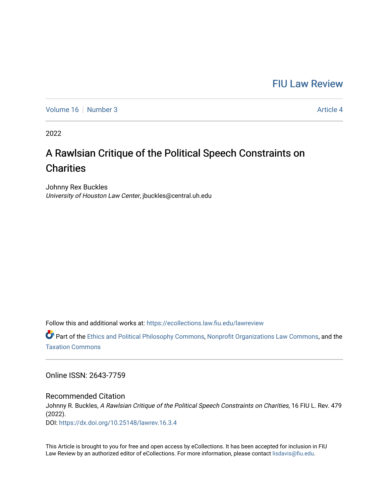# [FIU Law Review](https://ecollections.law.fiu.edu/lawreview)

[Volume 16](https://ecollections.law.fiu.edu/lawreview/vol16) [Number 3](https://ecollections.law.fiu.edu/lawreview/vol16/iss3) Article 4

2022

# A Rawlsian Critique of the Political Speech Constraints on **Charities**

Johnny Rex Buckles University of Houston Law Center, jbuckles@central.uh.edu

Follow this and additional works at: [https://ecollections.law.fiu.edu/lawreview](https://ecollections.law.fiu.edu/lawreview?utm_source=ecollections.law.fiu.edu%2Flawreview%2Fvol16%2Fiss3%2F4&utm_medium=PDF&utm_campaign=PDFCoverPages)

Part of the [Ethics and Political Philosophy Commons,](https://network.bepress.com/hgg/discipline/529?utm_source=ecollections.law.fiu.edu%2Flawreview%2Fvol16%2Fiss3%2F4&utm_medium=PDF&utm_campaign=PDFCoverPages) [Nonprofit Organizations Law Commons,](https://network.bepress.com/hgg/discipline/1349?utm_source=ecollections.law.fiu.edu%2Flawreview%2Fvol16%2Fiss3%2F4&utm_medium=PDF&utm_campaign=PDFCoverPages) and the [Taxation Commons](https://network.bepress.com/hgg/discipline/643?utm_source=ecollections.law.fiu.edu%2Flawreview%2Fvol16%2Fiss3%2F4&utm_medium=PDF&utm_campaign=PDFCoverPages) 

Online ISSN: 2643-7759

Recommended Citation Johnny R. Buckles, A Rawlsian Critique of the Political Speech Constraints on Charities, 16 FIU L. Rev. 479 (2022). DOI:<https://dx.doi.org/10.25148/lawrev.16.3.4>

This Article is brought to you for free and open access by eCollections. It has been accepted for inclusion in FIU Law Review by an authorized editor of eCollections. For more information, please contact [lisdavis@fiu.edu](mailto:lisdavis@fiu.edu).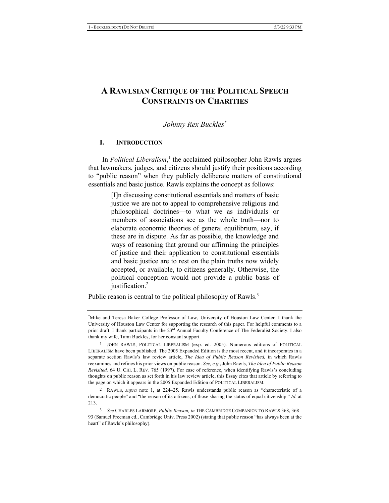## A RAWLSIAN CRITIQUE OF THE POLITICAL SPEECH **CONSTRAINTS ON CHARITIES**

*Johnny Rex Buckles* $^*$ 

#### **I**.

In *Political Liberalism*,<sup>1</sup> the acclaimed philosopher John Rawls argues that lawmakers, judges, and citizens should justify their positions according to "public reason" when they publicly deliberate matters of constitutional essentials and basic justice. Rawls explains the concept as follows:

> [I]n discussing constitutional essentials and matters of basic justice we are not to appeal to comprehensive religious and philosophical doctrines—to what we as individuals or members of associations see as the whole truth-nor to elaborate economic theories of general equilibrium, say, if these are in dispute. As far as possible, the knowledge and ways of reasoning that ground our affirming the principles of justice and their application to constitutional essentials and basic justice are to rest on the plain truths now widely accepted, or available, to citizens generally. Otherwise, the political conception would not provide a public basis of iustification. $2$

Public reason is central to the political philosophy of Rawls.<sup>3</sup>

<sup>\*</sup>Mike and Teresa Baker College Professor of Law, University of Houston Law Center. I thank the University of Houston Law Center for supporting the research of this paper. For helpful comments to a prior draft, I thank participants in the 23<sup>rd</sup> Annual Faculty Conference of The Federalist Society. I also thank my wife, Tami Buckles, for her constant support.

<sup>&</sup>lt;sup>1</sup> JOHN RAWLS, POLITICAL LIBERALISM (exp. ed. 2005). Numerous editions of POLITICAL LIBERALISM have been published. The 2005 Expanded Edition is the most recent, and it incorporates in a separate section Rawls's law review article, The Idea of Public Reason Revisited, in which Rawls reexamines and refines his prior views on public reason. See, e.g., John Rawls, *The Idea of Public Reason* Revisited, 64 U. CHI. L. REV. 765 (1997). For ease of reference, when identifying Rawls's concluding thoughts on public reason as set forth in his law review article, this Essay cites that article by referring to the page on which it appears in the 2005 Expanded Edition of POLITICAL LIBERALISM.

<sup>2</sup> RAWLS, *supra* note 1, at 224–25. Rawls understands public reason as "characteristic of a democratic people" and "the reason of its citizens, of those sharing the status of equal citizenship." Id. at 213.

<sup>&</sup>lt;sup>3</sup> See CHARLES LARMORE, *Public Reason, in* THE CAMBRIDGE COMPANION TO RAWLS 368, 368-93 (Samuel Freeman ed., Cambridge Univ. Press 2002) (stating that public reason "has always been at the heart" of Rawls's philosophy).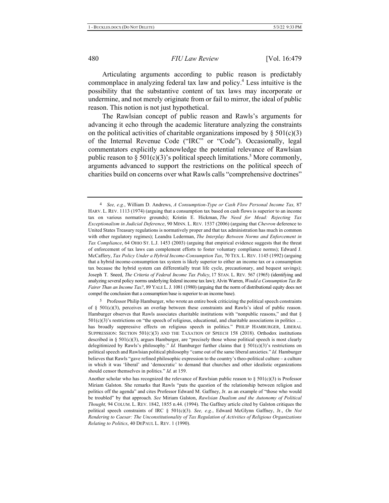Articulating arguments according to public reason is predictably commonplace in analyzing federal tax law and policy.<sup>4</sup> Less intuitive is the possibility that the substantive content of tax laws may incorporate or undermine, and not merely originate from or fail to mirror, the ideal of public reason. This notion is not just hypothetical.

The Rawlsian concept of public reason and Rawls's arguments for advancing it echo through the academic literature analyzing the constraints on the political activities of charitable organizations imposed by  $\S 501(c)(3)$ of the Internal Revenue Code ("IRC" or "Code"). Occasionally, legal commentators explicitly acknowledge the potential relevance of Rawlsian public reason to § 501(c)(3)'s political speech limitations.<sup>5</sup> More commonly, arguments advanced to support the restrictions on the political speech of charities build on concerns over what Rawls calls "comprehensive doctrines"

Professor Philip Hamburger, who wrote an entire book criticizing the political speech constraints of §  $501(c)(3)$ , perceives an overlap between these constraints and Rawls's ideal of public reason. Hamburger observes that Rawls associates charitable institutions with "nonpublic reasons," and that  $\S$  $501(c)(3)$ 's restrictions on "the speech of religious, educational, and charitable associations in politics ... has broadly suppressive effects on religious speech in politics." PHILIP HAMBURGER, LIBERAL SUPPRESSION: SECTION  $501(C)(3)$  AND THE TAXATION OF SPEECH 158 (2018). Orthodox institutions described in §  $501(c)(3)$ , argues Hamburger, are "precisely those whose political speech is most clearly delegitimized by Rawls's philosophy." *Id.* Hamburger further claims that  $\S$  501(c)(3)'s restrictions on political speech and Rawlsian political philosophy "came out of the same liberal anxieties." *Id.* Hamburger believes that Rawls "gave refined philosophic expression to the country's theo-political culture – a culture in which it was 'liberal' and 'democratic' to demand that churches and other idealistic organizations should censor themselves in politics." *Id.* at 159.

<sup>&</sup>lt;sup>4</sup> See, e.g., William D. Andrews, *A Consumption-Type or Cash Flow Personal Income Tax*, 87 HARV. L. REV. 1113 (1974) (arguing that a consumption tax based on cash flows is superior to an income tax on various normative grounds); Kristin E. Hickman, The Need for Mead: Rejecting Tax Exceptionalism in Judicial Deference, 90 MINN. L. REV. 1537 (2006) (arguing that Chevron deference to United States Treasury regulations is normatively proper and that tax administration has much in common with other regulatory regimes); Leandra Lederman, The Interplay Between Norms and Enforcement in Tax Compliance, 64 OHIO ST. L.J. 1453 (2003) (arguing that empirical evidence suggests that the threat of enforcement of tax laws can complement efforts to foster voluntary compliance norms); Edward J. McCaffery, Tax Policy Under a Hybrid Income-Consumption Tax, 70 TEX. L. REV. 1145 (1992) (arguing that a hybrid income-consumption tax system is likely superior to either an income tax or a consumption tax because the hybrid system can differentially treat life cycle, precautionary, and bequest savings); Joseph T. Sneed, The Criteria of Federal Income Tax Policy, 17 STAN. L. REV. 567 (1965) (identifying and analyzing several policy norms underlying federal income tax law); Alvin Warren, Would a Consumption Tax Be *Fairer Than an Income Tax?*, 89 YALE L. J. 1081 (1980) (arguing that the norm of distributional equity does not compel the conclusion that a consumption base is superior to an income base).

Another scholar who has recognized the relevance of Rawlsian public reason to  $\S 501(c)(3)$  is Professor Miriam Galston. She remarks that Rawls "puts the question of the relationship between religion and politics off the agenda" and cites Professor Edward M. Gaffney, Jr. as an example of "those who would be troubled" by that approach. See Miriam Galston, Rawlsian Dualism and the Autonomy of Political Thought, 94 COLUM. L. REV. 1842, 1855 n.44. (1994). The Gaffney article cited by Galston critiques the political speech constraints of IRC § 501(c)(3). See, e.g., Edward McGlynn Gaffney, Jr., On Not Rendering to Caesar: The Unconstitutionality of Tax Regulation of Activities of Religious Organizations *Relating to Politics*, 40 DEPAUL L. REV. 1 (1990).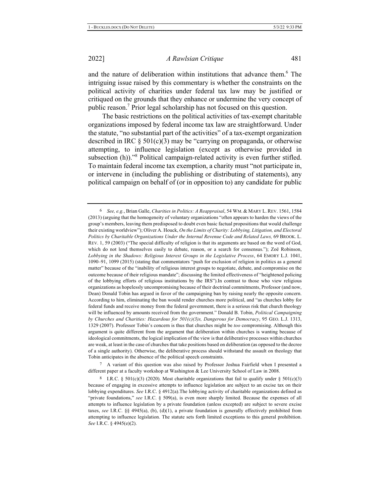and the nature of deliberation within institutions that advance them.<sup>6</sup> The intriguing issue raised by this commentary is whether the constraints on the political activity of charities under federal tax law may be justified or critiqued on the grounds that they enhance or undermine the very concept of public reason.<sup>7</sup> Prior legal scholarship has not focused on this question.

The basic restrictions on the political activities of tax-exempt charitable organizations imposed by federal income tax law are straightforward. Under the statute, "no substantial part of the activities" of a tax-exempt organization described in IRC  $\S$  501(c)(3) may be "carrying on propaganda, or otherwise attempting, to influence legislation (except as otherwise provided in subsection (h))."<sup>8</sup> Political campaign-related activity is even further stifled. To maintain federal income tax exemption, a charity must "not participate in, or intervene in (including the publishing or distributing of statements), any political campaign on behalf of (or in opposition to) any candidate for public

<sup>7</sup> A variant of this question was also raised by Professor Joshua Fairfield when I presented a different paper at a faculty workshop at Washington & Lee University School of Law in 2008.

<sup>6</sup> See, e.g., Brian Galle, Charities in Politics: A Reappraisal, 54 WM. & MARY L. REV. 1561, 1584 (2013) (arguing that the homogeneity of voluntary organizations "often appears to harden the views of the group's members, leaving them predisposed to doubt even basic factual propositions that would challenge their existing worldview"); Oliver A. Houck, On the Limits of Charity: Lobbying, Litigation, and Electoral Politics by Charitable Organizations Under the Internal Revenue Code and Related Laws, 69 BROOK. L. REV. 1, 59 (2003) ("The special difficulty of religion is that its arguments are based on the word of God, which do not lend themselves easily to debate, reason, or a search for consensus."); Zoë Robinson, Lobbying in the Shadows: Religious Interest Groups in the Legislative Process, 64 EMORY L.J. 1041, 1090–91, 1099 (2015) (stating that commentators "push for exclusion of religion in politics as a general matter" because of the "inability of religious interest groups to negotiate, debate, and compromise on the outcome because of their religious mandate"; discussing the limited effectiveness of "heightened policing of the lobbying efforts of religious institutions by the IRS"). In contrast to those who view religious organizations as hopelessly uncompromising because of their doctrinal commitments, Professor (and now, Dean) Donald Tobin has argued in favor of the campaigning ban by raising nearly the opposite concern. According to him, eliminating the ban would render churches more political, and "as churches lobby for federal funds and receive money from the federal government, there is a serious risk that church theology will be influenced by amounts received from the government." Donald B. Tobin, Political Campaigning *by Churches and Charities: Hazardous for 501(c)(3)s, Dangerous for Democracy, 95 GEO. L.J. 1313,* 1329 (2007). Professor Tobin's concern is thus that churches might be too compromising. Although this argument is quite different from the argument that deliberation within churches is wanting because of ideological commitments, the logical implication of the view is that deliberative processes within churches are weak, at least in the case of churches that take positions based on deliberation (as opposed to the decree of a single authority). Otherwise, the deliberative process should withstand the assault on theology that Tobin anticipates in the absence of the political speech constraints.

<sup>8</sup> I.R.C. § 501(c)(3) (2020). Most charitable organizations that fail to qualify under § 501(c)(3) because of engaging in excessive attempts to influence legislation are subject to an excise tax on their lobbying expenditures. See I.R.C. § 4912(a). The lobbying activity of charitable organizations defined as "private foundations," see I.R.C. § 509(a), is even more sharply limited. Because the expenses of all attempts to influence legislation by a private foundation (unless excepted) are subject to severe excise taxes, see I.R.C. §§ 4945(a), (b), (d)(1), a private foundation is generally effectively prohibited from attempting to influence legislation. The statute sets forth limited exceptions to this general prohibition. *See* I.R.C. § 4945(e)(2).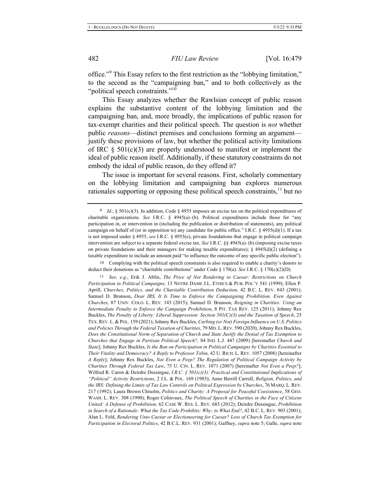office."<sup>9</sup> This Essay refers to the first restriction as the "lobbying limitation," to the second as the "campaigning ban," and to both collectively as the "political speech constraints."<sup>10</sup>

This Essay analyzes whether the Rawlsian concept of public reason explains the substantive content of the lobbying limitation and the campaigning ban, and, more broadly, the implications of public reason for tax-exempt charities and their political speech. The question is *not* whether public reasons-distinct premises and conclusions forming an argumentjustify these provisions of law, but whether the political activity limitations of IRC  $\S$  501(c)(3) are properly understood to manifest or implement the ideal of public reason itself. Additionally, if these statutory constraints do not embody the ideal of public reason, do they offend it?

The issue is important for several reasons. First, scholarly commentary on the lobbying limitation and campaigning ban explores numerous rationales supporting or opposing these political speech constraints,  $\frac{1}{1}$  but no

10 Complying with the political speech constraints is also required to enable a charity's donors to deduct their donations as "charitable contributions" under Code § 170(a). See I.R.C. § 170(c)(2)(D).

11 See, e.g., Erik J. Ablin, The Price of Not Rendering to Caesar: Restrictions on Church Participation in Political Campaigns, 13 NOTRE DAME J.L. ETHICS & PUB. POL'Y 541 (1999); Ellen P. Aprill, Churches, Politics, and the Charitable Contribution Deduction, 42 B.C. L. REV. 843 (2001); Samuel D. Brunson, *Dear IRS, It Is Time to Enforce the Campaigning Prohibition. Even Against* Churches, 87 UNIV. COLO. L. REV. 143 (2015); Samuel D. Brunson, Reigning in Charities: Using an Intermediate Penalty to Enforce the Campaign Prohibition, 8 PIT. TAX REV. 125 (2011); Johnny Rex Buckles, The Penalty of Liberty: Liberal Suppression: Section 501(C)(3) and the Taxation of Speech, 25 TEX. REV. L. & POL. 159 (2021); Johnny Rex Buckles, Curbing (or Not) Foreign Influence on U.S. Politics and Policies Through the Federal Taxation of Charities, 79 MD. L. REV. 590 (2020); Johnny Rex Buckles, Does the Constitutional Norm of Separation of Church and State Justify the Denial of Tax Exemption to Churches that Engage in Partisan Political Speech?, 84 IND. L.J. 447 (2009) [hereinafter Church and *State*]; Johnny Rex Buckles, *Is the Ban on Participation in Political Campaigns by Charities Essential to* Their Vitality and Democracy? A Reply to Professor Tobin, 42 U. RICH. L. REV. 1057 (2008) [hereinafter *A Reply]*; Johnny Rex Buckles, Not Even a Peep? The Regulation of Political Campaign Activity by Charities Through Federal Tax Law, 75 U. CIN. L. REV. 1071 (2007) [hereinafter Not Even a Peep?]; Wilfred R. Caron & Deirdre Dessingue, *I.R.C.* §  $50I(c)(3)$ : Practical and Constitutional Implications of "Political" Activity Restrictions, 2 J.L. & POL. 169 (1985); Anne Berrill Carroll, Religion, Politics, and the IRS: Defining the Limits of Tax Law Controls on Political Expression by Churches, 76 MARQ. L. REV. 217 (1992); Laura Brown Chisolm, *Politics and Charity: A Proposal for Peaceful Coexistence*, 58 GEO. WASH. L. REV. 308 (1990); Roger Colinvaux, *The Political Speech of Charities in the Face of Citizens* United: A Defense of Prohibition, 62 CASE W. RES. L. REV. 685 (2012); Deirdre Dessingue, Prohibition in Search of a Rationale: What the Tax Code Prohibits; Why; to What End?, 42 B.C. L. REV. 903 (2001); Alan L. Feld, Rendering Unto Caesar or Electioneering for Caesar? Loss of Church Tax Exemption for Participation in Electoral Politics, 42 B.C.L. REV. 931 (2001); Gaffney, supra note 5; Galle, supra note

<sup>9</sup> Id.; § 501(c)(3). In addition, Code § 4955 imposes an excise tax on the political expenditures of charitable organizations. See I.R.C.  $\S$  4945(a)-(b). Political expenditures include those for "any participation in, or intervention in (including the publication or distribution of statements), any political campaign on behalf of (or in opposition to) any candidate for public office." I.R.C. § 4955(d)(1). If a tax is not imposed under § 4955, see I.R.C. § 4955(e), private foundations that engage in political campaign intervention are subject to a separate federal excise tax. See I.R.C. §§  $4945(a)$  (b) (imposing excise taxes on private foundations and their managers for making taxable expenditures);  $\S$  4945(d)(2) (defining a taxable expenditure to include an amount paid "to influence the outcome of any specific public election").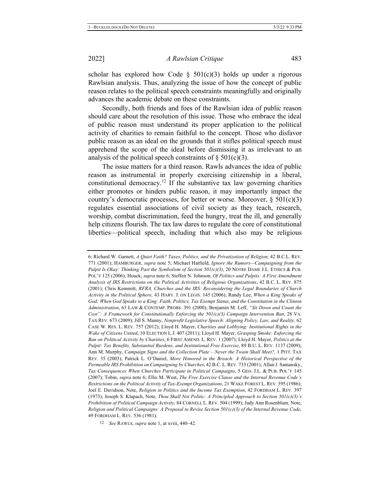scholar has explored how Code  $\S$  501(c)(3) holds up under a rigorous Rawlsian analysis. Thus, analyzing the issue of how the concept of public reason relates to the political speech constraints meaningfully and originally advances the academic debate on these constraints.

Secondly, both friends and foes of the Rawlsian idea of public reason should care about the resolution of this issue. Those who embrace the ideal of public reason must understand its proper application to the political activity of charities to remain faithful to the concept. Those who disfavor public reason as an ideal on the grounds that it stifles political speech must apprehend the scope of the ideal before dismissing it as irrelevant to an analysis of the political speech constraints of  $\S 501(c)(3)$ .

The issue matters for a third reason. Rawls advances the idea of public reason as instrumental in properly exercising citizenship in a liberal, constitutional democracy.<sup>12</sup> If the substantive tax law governing charities either promotes or hinders public reason, it may importantly impact the country's democratic processes, for better or worse. Moreover,  $\S 501(c)(3)$ regulates essential associations of civil society as they teach, research, worship, combat discrimination, feed the hungry, treat the ill, and generally help citizens flourish. The tax law dares to regulate the core of constitutional liberties—political speech, including that which also may be religious

<sup>6;</sup> Richard W. Garnett, A Quiet Faith? Taxes, Politics, and the Privatization of Religion, 42 B.C.L. REV. 771 (2001); HAMBURGER, supra note 5; Michael Hatfield, *Ignore the Rumors—Campaigning from the Pulpit Is Okay: Thinking Past the Symbolism of Section*  $50I(c)(3)$ *, 20 NOTRE DAME J.L. ETHICS & PUB.* POL'Y 125 (2006); Houck, *supra* note 6; Steffen N. Johnson, *Of Politics and Pulpits: A First Amendment* Analysis of IRS Restrictions on the Political Activities of Religious Organizations, 42 B.C. L. REV. 875 (2001); Chris Kemmitt, RFRA, Churches and the IRS: Reconsidering the Legal Boundaries of Church Activity in the Political Sphere, 43 HARV. J. ON LEGIS. 145 (2006); Randy Lee, When a King Speaks of God; When God Speaks to a King: Faith, Politics, Tax Exempt Status, and the Constitution in the Clinton Administration, 63 LAW & CONTEMP. PROBS. 391 (2000); Benjamin M. Leff, "Sit Down and Count the Cost": A Framework for Constitutionally Enforcing the 501(c)(3) Campaign Intervention Ban, 28 VA. TAX REV. 673 (2009); Jill S. Manny, *Nonprofit Legislative Speech: Aligning Policy, Law, and Reality, 62* CASE W. RES. L. REV. 757 (2012); Lloyd H. Mayer, Charities and Lobbying: Institutional Rights in the Wake of Citizens United, 10 ELECTION L.J. 407 (2011); Lloyd H. Mayer, Grasping Smoke: Enforcing the Ban on Political Activity by Charities, 6 FIRST AMEND. L. REV. 1 (2007); Lloyd H. Mayer, Politics at the Pulpit: Tax Benefits, Substantial Burdens, and Institutional Free Exercise, 89 B.U. L. REV. 1137 (2009); Ann M. Murphy, Campaign Signs and the Collection Plate - Never the Twain Shall Meet?, 1 PITT. TAX REV. 35 (2003); Patrick L. O'Daniel, More Honored in the Breach: A Historical Perspective of the Permeable IRS Prohibition on Campaigning by Churches, 42 B.C. L. REV. 733 (2001); Allan J. Samansky, Tax Consequences When Churches Participate in Political Campaigns, 5 GEO. J.L. & PUB. POL'Y 145 (2007); Tobin, supra note 6; Ellis M. West, *The Free Exercise Clause and the Internal Revenue Code's* Restrictions on the Political Activity of Tax-Exempt Organizations, 21 WAKE FOREST L. REV. 395 (1986); Joel E. Davidson, Note, *Religion in Politics and the Income Tax Exemption*, 42 FORDHAM L. REV. 397 (1973); Joseph S. Klapach, Note, *Thou Shall Not Politic: A Principled Approach to Section 501(c)(3)'s* Prohibition of Political Campaign Activity, 84 CORNELL L. REV. 504 (1999); Judy Ann Rosenblum, Note, Religion and Political Campaigns: A Proposal to Revise Section  $50I(c)(3)$  of the Internal Revenue Code, 49 FORDHAM L. REV. 536 (1981).

<sup>12</sup> See RAWLS, *supra* note 1, at xviii, 440–42.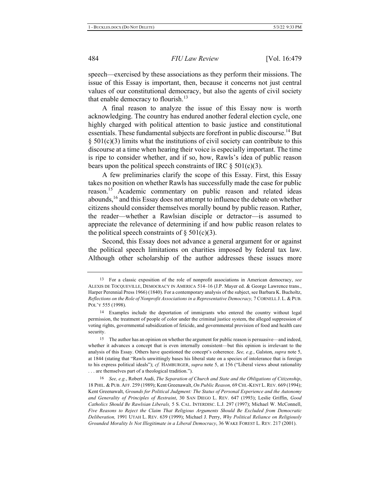speech—exercised by these associations as they perform their missions. The issue of this Essay is important, then, because it concerns not just central values of our constitutional democracy, but also the agents of civil society that enable democracy to flourish.<sup>13</sup>

A final reason to analyze the issue of this Essay now is worth acknowledging. The country has endured another federal election cycle, one highly charged with political attention to basic justice and constitutional essentials. These fundamental subjects are forefront in public discourse.<sup>14</sup> But  $\S$  501(c)(3) limits what the institutions of civil society can contribute to this discourse at a time when hearing their voice is especially important. The time is ripe to consider whether, and if so, how, Rawls's idea of public reason bears upon the political speech constraints of IRC  $\S 501(c)(3)$ .

A few preliminaries clarify the scope of this Essay. First, this Essay takes no position on whether Rawls has successfully made the case for public reason.<sup>15</sup> Academic commentary on public reason and related ideas abounds,  $^{16}$  and this Essay does not attempt to influence the debate on whether citizens should consider themselves morally bound by public reason. Rather, the reader—whether a Rawlsian disciple or detractor—is assumed to appreciate the relevance of determining if and how public reason relates to the political speech constraints of  $\S 501(c)(3)$ .

Second, this Essay does not advance a general argument for or against the political speech limitations on charities imposed by federal tax law. Although other scholarship of the author addresses these issues more

<sup>&</sup>lt;sup>13</sup> For a classic exposition of the role of nonprofit associations in American democracy, see ALEXIS DE TOCQUEVILLE, DEMOCRACY IN AMERICA 514-16 (J.P. Mayer ed. & George Lawrence trans., Harper Perennial Press 1966) (1840). For a contemporary analysis of the subject, see Barbara K. Bucholtz, Reflections on the Role of Nonprofit Associations in a Representative Democracy, 7 CORNELL J. L. & PUB. POL'Y 555 (1998).

<sup>&</sup>lt;sup>14</sup> Examples include the deportation of immigrants who entered the country without legal permission, the treatment of people of color under the criminal justice system, the alleged suppression of voting rights, governmental subsidization of feticide, and governmental provision of food and health care security.

<sup>&</sup>lt;sup>15</sup> The author has an opinion on whether the argument for public reason is persuasive—and indeed, whether it advances a concept that is even internally consistent—but this opinion is irrelevant to the analysis of this Essay. Others have questioned the concept's coherence. See, e.g., Galston, *supra* note 5, at 1844 (stating that "Rawls unwittingly bases his liberal state on a species of intolerance that is foreign to his express political ideals"); cf. HAMBURGER, *supra* note 5, at 156 ("Liberal views about rationality ... are themselves part of a theological tradition.").

*<sup>16</sup> See, e.g., Robert Audi, The Separation of Church and State and the Obligations of Citizenship,* 18 PHIL. & PUB. AFF. 259 (1989); Kent Greenawalt, On Public Reason, 69 CHI.-KENT L. REV. 669 (1994); Kent Greenawalt, Grounds for Political Judgment: The Status of Personal Experience and the Autonomy and Generality of Principles of Restraint, 30 SAN DIEGO L. REV. 647 (1993); Leslie Griffin, Good Catholics Should Be Rawlsian Liberals, 5 S. CAL. INTERDISC. L.J. 297 (1997); Michael W. McConnell, Five Reasons to Reject the Claim That Religious Arguments Should Be Excluded from Democratic Deliberation, 1991 UTAH L. REV. 639 (1999); Michael J. Perry, Why Political Reliance on Religiously *Grounded Morality Is Not Illegitimate in a Liberal Democracy*, 36 WAKE FOREST L. REV. 217 (2001).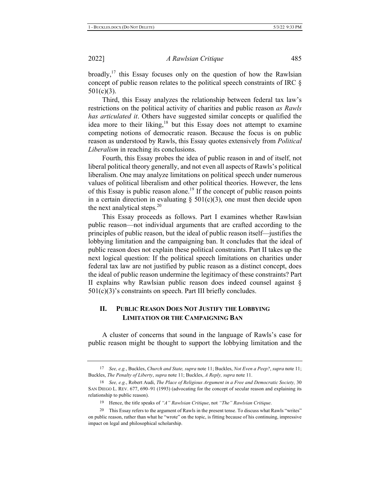broadly,<sup>17</sup> this Essay focuses only on the question of how the Rawlsian concept of public reason relates to the political speech constraints of IRC  $\S$  $501(c)(3)$ .

Third, this Essay analyzes the relationship between federal tax law's restrictions on the political activity of charities and public reason as Rawls has articulated it. Others have suggested similar concepts or qualified the idea more to their liking, $18$  but this Essay does not attempt to examine competing notions of democratic reason. Because the focus is on public reason as understood by Rawls, this Essay quotes extensively from *Political Liberalism* in reaching its conclusions.

Fourth, this Essay probes the idea of public reason in and of itself, not liberal political theory generally, and not even all aspects of Rawls's political liberalism. One may analyze limitations on political speech under numerous values of political liberalism and other political theories. However, the lens of this Essay is public reason alone.<sup>19</sup> If the concept of public reason points in a certain direction in evaluating  $\S$  501(c)(3), one must then decide upon the next analytical steps. $20$ 

This Essay proceeds as follows. Part I examines whether Rawlsian public reason—not individual arguments that are crafted according to the principles of public reason, but the ideal of public reason itself—justifies the lobbying limitation and the campaigning ban. It concludes that the ideal of public reason does not explain these political constraints. Part II takes up the next logical question: If the political speech limitations on charities under federal tax law are not justified by public reason as a distinct concept, does the ideal of public reason undermine the legitimacy of these constraints? Part II explains why Rawlsian public reason does indeed counsel against  $\S$  $501(c)(3)$ 's constraints on speech. Part III briefly concludes.

#### **II. .** PUBLIC REASON DOES NOT JUSTIFY THE LOBBYING **LIMITATION OR THE CAMPAIGNING BAN**

A cluster of concerns that sound in the language of Rawls's case for public reason might be thought to support the lobbying limitation and the

<sup>&</sup>lt;sup>17</sup> See, e.g., Buckles, Church and State, supra note 11; Buckles, Not Even a Peep?, supra note 11; Buckles, The Penalty of Liberty, supra note 11; Buckles, A Reply, supra note 11.

<sup>&</sup>lt;sup>18</sup> See, e.g., Robert Audi, *The Place of Religious Argument in a Free and Democratic Society,* 30 SAN DIEGO L. REV. 677, 690–91 (1993) (advocating for the concept of secular reason and explaining its relationship to public reason).

<sup>&</sup>lt;sup>19</sup> Hence, the title speaks of "A" Rawlsian Critique, not "The" Rawlsian Critique.

<sup>&</sup>lt;sup>20</sup> This Essay refers to the argument of Rawls in the present tense. To discuss what Rawls "writes" on public reason, rather than what he "wrote" on the topic, is fitting because of his continuing, impressive impact on legal and philosophical scholarship.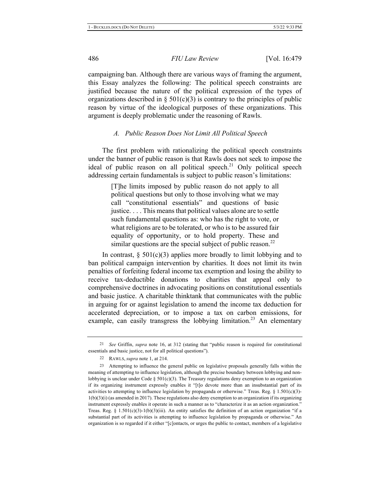campaigning ban. Although there are various ways of framing the argument, this Essay analyzes the following: The political speech constraints are justified because the nature of the political expression of the types of organizations described in §  $501(c)(3)$  is contrary to the principles of public reason by virtue of the ideological purposes of these organizations. This argument is deeply problematic under the reasoning of Rawls.

#### A. Public Reason Does Not Limit All Political Speech

The first problem with rationalizing the political speech constraints under the banner of public reason is that Rawls does not seek to impose the ideal of public reason on all political speech.<sup>21</sup> Only political speech addressing certain fundamentals is subject to public reason's limitations:

> [T]he limits imposed by public reason do not apply to all political questions but only to those involving what we may call "constitutional essentials" and questions of basic justice.... This means that political values alone are to settle such fundamental questions as: who has the right to vote, or what religions are to be tolerated, or who is to be assured fair equality of opportunity, or to hold property. These and similar questions are the special subject of public reason.<sup>22</sup>

In contrast,  $\S$  501(c)(3) applies more broadly to limit lobbying and to ban political campaign intervention by charities. It does not limit its twin penalties of forfeiting federal income tax exemption and losing the ability to receive tax-deductible donations to charities that appeal only to comprehensive doctrines in advocating positions on constitutional essentials and basic justice. A charitable thinktank that communicates with the public in arguing for or against legislation to amend the income tax deduction for accelerated depreciation, or to impose a tax on carbon emissions, for example, can easily transgress the lobbying limitation.<sup>23</sup> An elementary

<sup>&</sup>lt;sup>21</sup> See Griffin, supra note 16, at 312 (stating that "public reason is required for constitutional essentials and basic justice, not for all political questions").

<sup>22</sup> RAWLS, *supra* note 1, at 214.

<sup>23</sup> Attempting to influence the general public on legislative proposals generally falls within the meaning of attempting to influence legislation, although the precise boundary between lobbying and nonlobbying is unclear under Code §  $501(c)(3)$ . The Treasury regulations deny exemption to an organization if its organizing instrument expressly enables it "[t]o devote more than an insubstantial part of its activities to attempting to influence legislation by propaganda or otherwise." Treas. Reg. § 1.501(c)(3)- $1(b)(3)(i)$  (as amended in 2017). These regulations also deny exemption to an organization if its organizing instrument expressly enables it operate in such a manner as to "characterize it as an action organization." Treas. Reg. §  $1.501(c)(3)-1(b)(3)(iii)$ . An entity satisfies the definition of an action organization "if a substantial part of its activities is attempting to influence legislation by propaganda or otherwise." An organization is so regarded if it either "[c]ontacts, or urges the public to contact, members of a legislative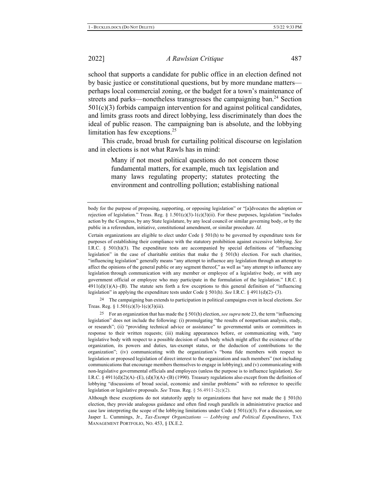*A Rawlsian Critique* 487

school that supports a candidate for public office in an election defined not by basic justice or constitutional questions, but by more mundane matters perhaps local commercial zoning, or the budget for a town's maintenance of streets and parks—nonetheless transgresses the campaigning ban.<sup>24</sup> Section  $501(c)(3)$  forbids campaign intervention for and against political candidates, and limits grass roots and direct lobbying, less discriminately than does the ideal of public reason. The campaigning ban is absolute, and the lobbying limitation has few exceptions. $25$ 

This crude, broad brush for curtailing political discourse on legislation and in elections is not what Rawls has in mind:

> Many if not most political questions do not concern those fundamental matters, for example, much tax legislation and many laws regulating property; statutes protecting the environment and controlling pollution; establishing national

Certain organizations are eligible to elect under Code § 501(h) to be governed by expenditure tests for purposes of establishing their compliance with the statutory prohibition against excessive lobbying. See I.R.C. § 501(h)(3). The expenditure tests are accompanied by special definitions of "influencing legislation" in the case of charitable entities that make the  $\S$  501(h) election. For such charities, "influencing legislation" generally means "any attempt to influence any legislation through an attempt to affect the opinions of the general public or any segment thereof," as well as "any attempt to influence any legislation through communication with any member or employee of a legislative body, or with any government official or employee who may participate in the formulation of the legislation." I.R.C.  $\S$  $3911(d)(1)(A)$ –(B). The statute sets forth a few exceptions to this general definition of "influencing" legislation" in applying the expenditure tests under Code  $\S$  501(h). See I.R.C.  $\S$  4911(d)(2)–(3).

<sup>24</sup> The campaigning ban extends to participation in political campaigns even in local elections. See Treas. Reg. §  $1.501(c)(3)-1(c)(3)(iii)$ .

<sup>25</sup> For an organization that has made the  $\S 501(h)$  election, see supra note 23, the term "influencing" legislation" does not include the following: (i) promulgating "the results of nonpartisan analysis, study, or research"; (ii) "providing technical advice or assistance" to governmental units or committees in response to their written requests; (iii) making appearances before, or communicating with, "any legislative body with respect to a possible decision of such body which might affect the existence of the organization, its powers and duties, tax-exempt status, or the deduction of contributions to the organization"; (iv) communicating with the organization's "bona fide members with respect to legislation or proposed legislation of direct interest to the organization and such members" (not including communications that encourage members themselves to engage in lobbying); and (v) communicating with non-legislative governmental officials and employees (unless the purpose is to influence legislation). See I.R.C. § 4911(d)(2)(A)–(E), (d)(3)(A)–(B) (1990). Treasury regulations also except from the definition of lobbying "discussions of broad social, economic and similar problems" with no reference to specific legislation or legislative proposals. See Treas. Reg.  $\S 56.4911-2(c)(2)$ .

Although these exceptions do not statutorily apply to organizations that have not made the  $\S$  501(h) election, they provide analogous guidance and often find rough parallels in administrative practice and case law interpreting the scope of the lobbying limitations under Code § 501(c)(3). For a discussion, see Jasper L. Cummings, Jr., Tax-Exempt Organizations - Lobbying and Political Expenditures, TAX Management Portfolio, No. 453, § IX.E.2.

body for the purpose of proposing, supporting, or opposing legislation" or "[a]dvocates the adoption or rejection of legislation." Treas. Reg. § 1.501(c)(3)-1(c)(3)(ii). For these purposes, legislation "includes action by the Congress, by any State legislature, by any local council or similar governing body, or by the public in a referendum, initiative, constitutional amendment, or similar procedure. Id.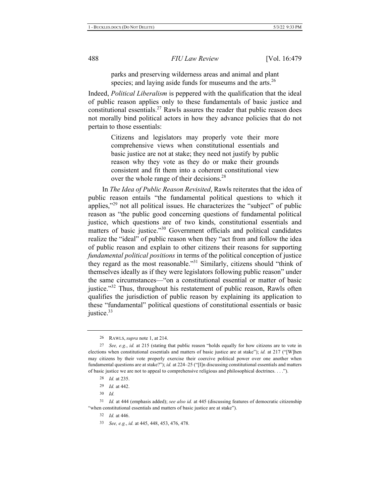parks and preserving wilderness areas and animal and plant species; and laying aside funds for museums and the arts. $^{26}$ 

Indeed, Political Liberalism is peppered with the qualification that the ideal of public reason applies only to these fundamentals of basic justice and constitutional essentials.<sup>27</sup> Rawls assures the reader that public reason does not morally bind political actors in how they advance policies that do not pertain to those essentials:

> Citizens and legislators may properly vote their more comprehensive views when constitutional essentials and basic justice are not at stake; they need not justify by public reason why they vote as they do or make their grounds consistent and fit them into a coherent constitutional view over the whole range of their decisions.<sup>28</sup>

In The Idea of Public Reason Revisited, Rawls reiterates that the idea of public reason entails "the fundamental political questions to which it applies," $29$  not all political issues. He characterizes the "subject" of public reason as "the public good concerning questions of fundamental political justice, which questions are of two kinds, constitutional essentials and matters of basic justice."<sup>30</sup> Government officials and political candidates realize the "ideal" of public reason when they "act from and follow the idea of public reason and explain to other citizens their reasons for supporting *fundamental political positions* in terms of the political conception of justice they regard as the most reasonable."<sup>31</sup> Similarly, citizens should "think of themselves ideally as if they were legislators following public reason" under the same circumstances—"on a constitutional essential or matter of basic justice."<sup>32</sup> Thus, throughout his restatement of public reason, Rawls often qualifies the jurisdiction of public reason by explaining its application to these "fundamental" political questions of constitutional essentials or basic justice. $33$ 

<sup>26</sup> RAWLS, *supra* note 1, at 214.

<sup>27</sup> See, e.g., id. at 215 (stating that public reason "holds equally for how citizens are to vote in elections when constitutional essentials and matters of basic justice are at stake"); id. at 217 ("[W]hen may citizens by their vote properly exercise their coercive political power over one another when fundamental questions are at stake?"); id. at  $224-25$  ("[I]n discussing constitutional essentials and matters of basic justice we are not to appeal to comprehensive religious and philosophical doctrines. . . .").

<sup>28</sup> *Id.* at 235.

<sup>29</sup> *Id.* at 442.

<sup>30</sup> *Id.* 

<sup>31</sup> *Id.* at 444 (emphasis added); see also id. at 445 (discussing features of democratic citizenship "when constitutional essentials and matters of basic justice are at stake").

<sup>32</sup> *Id.* at 446.

<sup>33</sup> See, e.g., id. at 445, 448, 453, 476, 478.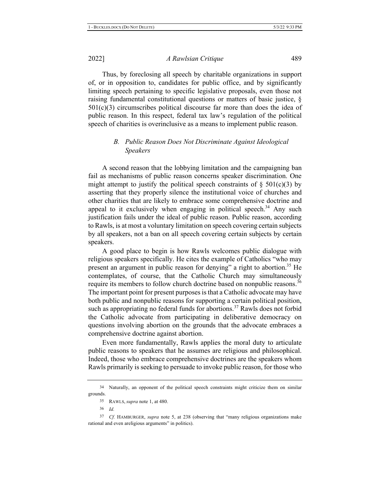Thus, by foreclosing all speech by charitable organizations in support of, or in opposition to, candidates for public office, and by significantly limiting speech pertaining to specific legislative proposals, even those not raising fundamental constitutional questions or matters of basic justice,  $\S$  $501(c)(3)$  circumscribes political discourse far more than does the idea of public reason. In this respect, federal tax law's regulation of the political speech of charities is overinclusive as a means to implement public reason.

#### **B.** Public Reason Does Not Discriminate Against Ideological  $S<sub>p</sub>eakers$

A second reason that the lobbying limitation and the campaigning ban fail as mechanisms of public reason concerns speaker discrimination. One might attempt to justify the political speech constraints of  $\S$  501(c)(3) by asserting that they properly silence the institutional voice of churches and other charities that are likely to embrace some comprehensive doctrine and appeal to it exclusively when engaging in political speech.<sup>34</sup> Any such justification fails under the ideal of public reason. Public reason, according to Rawls, is at most a voluntary limitation on speech covering certain subjects by all speakers, not a ban on all speech covering certain subjects by certain speakers.

A good place to begin is how Rawls welcomes public dialogue with religious speakers specifically. He cites the example of Catholics "who may present an argument in public reason for denying" a right to abortion.<sup>35</sup> He contemplates, of course, that the Catholic Church may simultaneously require its members to follow church doctrine based on nonpublic reasons.<sup>36</sup> The important point for present purposes is that a Catholic advocate may have both public and nonpublic reasons for supporting a certain political position, such as appropriating no federal funds for abortions.<sup>37</sup> Rawls does not forbid the Catholic advocate from participating in deliberative democracy on questions involving abortion on the grounds that the advocate embraces a comprehensive doctrine against abortion.

Even more fundamentally, Rawls applies the moral duty to articulate public reasons to speakers that he assumes are religious and philosophical. Indeed, those who embrace comprehensive doctrines are the speakers whom Rawls primarily is seeking to persuade to invoke public reason, for those who

<sup>34</sup> Naturally, an opponent of the political speech constraints might criticize them on similar grounds.

<sup>35</sup> RAWLS, *supra* note 1, at 480.

<sup>36</sup> *Id.* 

<sup>&</sup>lt;sup>37</sup> Cf. HAMBURGER, *supra* note 5, at 238 (observing that "many religious organizations make rational and even areligious arguments" in politics).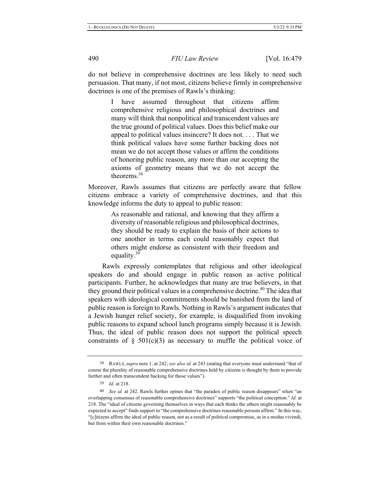do not believe in comprehensive doctrines are less likely to need such persuasion. That many, if not most, citizens believe firmly in comprehensive doctrines is one of the premises of Rawls's thinking:

> I have assumed throughout that citizens affirm comprehensive religious and philosophical doctrines and many will think that nonpolitical and transcendent values are the true ground of political values. Does this belief make our appeal to political values insincere? It does not.... That we think political values have some further backing does not mean we do not accept those values or affirm the conditions of honoring public reason, any more than our accepting the axioms of geometry means that we do not accept the theorems. $38$

Moreover, Rawls assumes that citizens are perfectly aware that fellow citizens embrace a variety of comprehensive doctrines, and that this knowledge informs the duty to appeal to public reason:

> As reasonable and rational, and knowing that they affirm a diversity of reasonable religious and philosophical doctrines, they should be ready to explain the basis of their actions to one another in terms each could reasonably expect that others might endorse as consistent with their freedom and equality.<sup>39</sup>

Rawls expressly contemplates that religious and other ideological speakers do and should engage in public reason as active political participants. Further, he acknowledges that many are true believers, in that they ground their political values in a comprehensive doctrine.<sup>40</sup> The idea that speakers with ideological commitments should be banished from the land of public reason is foreign to Rawls. Nothing in Rawls's argument indicates that a Jewish hunger relief society, for example, is disqualified from invoking public reasons to expand school lunch programs simply because it is Jewish. Thus, the ideal of public reason does not support the political speech constraints of  $\S$  501(c)(3) as necessary to muffle the political voice of

<sup>38</sup> RAWLS, *supra* note 1, at 242; see also id. at 243 (stating that everyone must understand "that of course the plurality of reasonable comprehensive doctrines held by citizens is thought by them to provide further and often transcendent backing for those values").

<sup>39</sup> *Id.* at 218.

<sup>40</sup> See id. at 242. Rawls further opines that "the paradox of public reason disappears" when "an overlapping consensus of reasonable comprehensive doctrines" supports "the political conception." Id. at 218. The "ideal of citizens governing themselves in ways that each thinks the others might reasonably be expected to accept" finds support in "the comprehensive doctrines reasonable persons affirm." In this way, "[c]itizens affirm the ideal of public reason, not as a result of political compromise, as in a modus vivendi, but from within their own reasonable doctrines."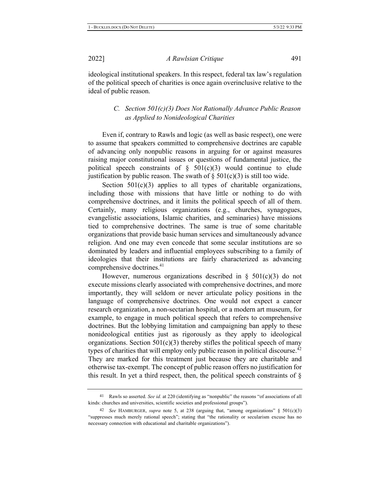ideological institutional speakers. In this respect, federal tax law's regulation of the political speech of charities is once again overinclusive relative to the ideal of public reason.

### *C.* Section 501(c)(3) Does Not Rationally Advance Public Reason as *Applied to Nonideological Charities*

Even if, contrary to Rawls and logic (as well as basic respect), one were to assume that speakers committed to comprehensive doctrines are capable of advancing only nonpublic reasons in arguing for or against measures raising major constitutional issues or questions of fundamental justice, the political speech constraints of  $\S$  501(c)(3) would continue to elude justification by public reason. The swath of  $\S 501(c)(3)$  is still too wide.

Section  $501(c)(3)$  applies to all types of charitable organizations, including those with missions that have little or nothing to do with comprehensive doctrines, and it limits the political speech of all of them. Certainly, many religious organizations (e.g., churches, synagogues, evangelistic associations, Islamic charities, and seminaries) have missions tied to comprehensive doctrines. The same is true of some charitable organizations that provide basic human services and simultaneously advance religion. And one may even concede that some secular institutions are so dominated by leaders and influential employees subscribing to a family of ideologies that their institutions are fairly characterized as advancing comprehensive doctrines. $41$ 

However, numerous organizations described in §  $501(c)(3)$  do not execute missions clearly associated with comprehensive doctrines, and more importantly, they will seldom or never articulate policy positions in the language of comprehensive doctrines. One would not expect a cancer research organization, a non-sectarian hospital, or a modern art museum, for example, to engage in much political speech that refers to comprehensive doctrines. But the lobbying limitation and campaigning ban apply to these nonideological entities just as rigorously as they apply to ideological organizations. Section  $501(c)(3)$  thereby stifles the political speech of many types of charities that will employ only public reason in political discourse.<sup>42</sup> They are marked for this treatment just because they are charitable and otherwise tax-exempt. The concept of public reason offers no justification for this result. In yet a third respect, then, the political speech constraints of  $\S$ 

<sup>41</sup> Rawls so asserted. See id. at 220 (identifying as "nonpublic" the reasons "of associations of all kinds: churches and universities, scientific societies and professional groups").

<sup>&</sup>lt;sup>42</sup> See HAMBURGER, supra note 5, at 238 (arguing that, "among organizations"  $\S$  501(c)(3) "suppresses much merely rational speech"; stating that "the rationality or secularism excuse has no necessary connection with educational and charitable organizations").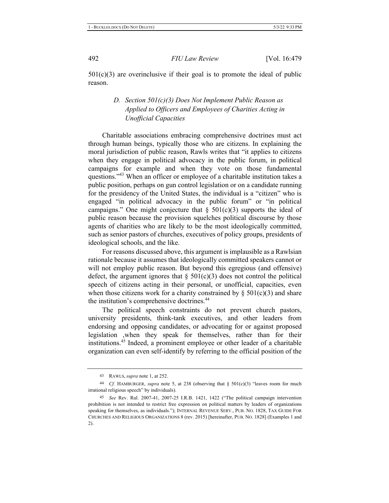$501(c)(3)$  are overinclusive if their goal is to promote the ideal of public reason.

### *D.* Section 501(c)(3) Does Not Implement Public Reason as *Applied to Officers and Employees of Charities Acting in*  $Un official \; Capacities$

Charitable associations embracing comprehensive doctrines must act through human beings, typically those who are citizens. In explaining the moral jurisdiction of public reason, Rawls writes that "it applies to citizens" when they engage in political advocacy in the public forum, in political campaigns for example and when they vote on those fundamental questions."<sup>43</sup> When an officer or employee of a charitable institution takes a public position, perhaps on gun control legislation or on a candidate running for the presidency of the United States, the individual is a "citizen" who is engaged "in political advocacy in the public forum" or "in political campaigns." One might conjecture that  $\S$  501(c)(3) supports the ideal of public reason because the provision squelches political discourse by those agents of charities who are likely to be the most ideologically committed, such as senior pastors of churches, executives of policy groups, presidents of ideological schools, and the like.

For reasons discussed above, this argument is implausible as a Rawlsian rationale because it assumes that ideologically committed speakers cannot or will not employ public reason. But beyond this egregious (and offensive) defect, the argument ignores that  $\S 501(c)(3)$  does not control the political speech of citizens acting in their personal, or unofficial, capacities, even when those citizens work for a charity constrained by  $\S 501(c)(3)$  and share the institution's comprehensive doctrines.<sup>44</sup>

The political speech constraints do not prevent church pastors, university presidents, think-tank executives, and other leaders from endorsing and opposing candidates, or advocating for or against proposed legislation ,when they speak for themselves, rather than for their institutions.<sup>45</sup> Indeed, a prominent employee or other leader of a charitable organization can even self-identify by referring to the official position of the

<sup>43</sup> RAWLS, *supra* note 1, at 252.

<sup>&</sup>lt;sup>44</sup> Cf. HAMBURGER, *supra* note 5, at 238 (observing that  $\S$  501(c)(3) "leaves room for much irrational religious speech" by individuals).

<sup>45</sup> See Rev. Rul. 2007-41, 2007-25 I.R.B. 1421, 1422 ("The political campaign intervention prohibition is not intended to restrict free expression on political matters by leaders of organizations speaking for themselves, as individuals."); INTERNAL REVENUE SERV., PUB. NO. 1828, TAX GUIDE FOR CHURCHES AND RELIGIOUS ORGANIZATIONS 8 (rev. 2015) [hereinafter, PUB. NO. 1828] (Examples 1 and 2).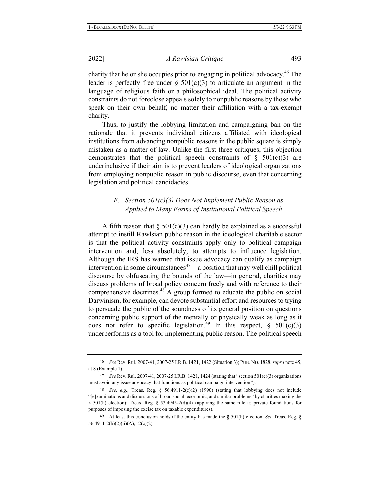charity that he or she occupies prior to engaging in political advocacy.<sup>46</sup> The leader is perfectly free under  $\S$  501(c)(3) to articulate an argument in the language of religious faith or a philosophical ideal. The political activity constraints do not foreclose appeals solely to nonpublic reasons by those who speak on their own behalf, no matter their affiliation with a tax-exempt charity.

Thus, to justify the lobbying limitation and campaigning ban on the rationale that it prevents individual citizens affiliated with ideological institutions from advancing nonpublic reasons in the public square is simply mistaken as a matter of law. Unlike the first three critiques, this objection demonstrates that the political speech constraints of  $\S$  501(c)(3) are underinclusive if their aim is to prevent leaders of ideological organizations from employing nonpublic reason in public discourse, even that concerning legislation and political candidacies.

#### *E.* Section 501(c)(3) Does Not Implement Public Reason as *Applied to Many Forms of Institutional Political Speech*

A fifth reason that  $\S 501(c)(3)$  can hardly be explained as a successful attempt to instill Rawlsian public reason in the ideological charitable sector is that the political activity constraints apply only to political campaign intervention and, less absolutely, to attempts to influence legislation. Although the IRS has warned that issue advocacy can qualify as campaign intervention in some circumstances<sup>47</sup>—a position that may well chill political discourse by obfuscating the bounds of the law—in general, charities may discuss problems of broad policy concern freely and with reference to their comprehensive doctrines.<sup>48</sup> A group formed to educate the public on social Darwinism, for example, can devote substantial effort and resources to trying to persuade the public of the soundness of its general position on questions concerning public support of the mentally or physically weak as long as it does not refer to specific legislation.<sup>49</sup> In this respect,  $\S$  501(c)(3) underperforms as a tool for implementing public reason. The political speech

<sup>46</sup> See Rev. Rul. 2007-41, 2007-25 I.R.B. 1421, 1422 (Situation 3); PUB. NO. 1828, *supra* note 45, at 8 (Example 1).

<sup>47</sup> See Rev. Rul. 2007-41, 2007-25 I.R.B. 1421, 1424 (stating that "section  $501(c)(3)$  organizations must avoid any issue advocacy that functions as political campaign intervention").

<sup>48</sup> See, e.g., Treas. Reg. §  $56.4911-2(c)(2)$  (1990) (stating that lobbying does not include "[e]xaminations and discussions of broad social, economic, and similar problems" by charities making the § 501(h) election); Treas. Reg. § 53.4945-2(d)(4) (applying the same rule to private foundations for purposes of imposing the excise tax on taxable expenditures).

<sup>49</sup> At least this conclusion holds if the entity has made the  $\S$  501(h) election. See Treas. Reg.  $\S$  $56.4911-2(b)(2)(ii)(A), -2(c)(2).$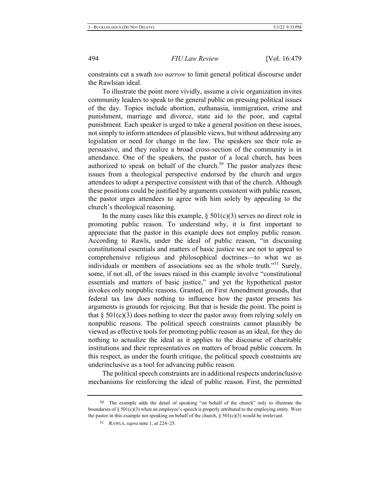constraints cut a swath too narrow to limit general political discourse under the Rawlsian ideal.

To illustrate the point more vividly, assume a civic organization invites community leaders to speak to the general public on pressing political issues of the day. Topics include abortion, euthanasia, immigration, crime and punishment, marriage and divorce, state aid to the poor, and capital punishment. Each speaker is urged to take a general position on these issues, not simply to inform attendees of plausible views, but without addressing any legislation or need for change in the law. The speakers see their role as persuasive, and they realize a broad cross-section of the community is in attendance. One of the speakers, the pastor of a local church, has been authorized to speak on behalf of the church.<sup>50</sup> The pastor analyzes these issues from a theological perspective endorsed by the church and urges attendees to adopt a perspective consistent with that of the church. Although these positions could be justified by arguments consistent with public reason, the pastor urges attendees to agree with him solely by appealing to the church's theological reasoning.

In the many cases like this example,  $\S 501(c)(3)$  serves no direct role in promoting public reason. To understand why, it is first important to appreciate that the pastor in this example does not employ public reason. According to Rawls, under the ideal of public reason, "in discussing constitutional essentials and matters of basic justice we are not to appeal to comprehensive religious and philosophical doctrines—to what we as individuals or members of associations see as the whole truth."<sup>51</sup> Surely, some, if not all, of the issues raised in this example involve "constitutional" essentials and matters of basic justice," and yet the hypothetical pastor invokes only nonpublic reasons. Granted, on First Amendment grounds, that federal tax law does nothing to influence how the pastor presents his arguments is grounds for rejoicing. But that is beside the point. The point is that  $\S$  501(c)(3) does nothing to steer the pastor away from relying solely on nonpublic reasons. The political speech constraints cannot plausibly be viewed as effective tools for promoting public reason as an ideal, for they do nothing to actualize the ideal as it applies to the discourse of charitable institutions and their representatives on matters of broad public concern. In this respect, as under the fourth critique, the political speech constraints are underinclusive as a tool for advancing public reason.

The political speech constraints are in additional respects under inclusive mechanisms for reinforcing the ideal of public reason. First, the permitted

<sup>50</sup> The example adds the detail of speaking "on behalf of the church" only to illustrate the boundaries of  $\S 501(c)(3)$  when an employee's speech is properly attributed to the employing entity. Were the pastor in this example not speaking on behalf of the church,  $\S 501(c)(3)$  would be irrelevant.

<sup>51</sup> RAWLS, *supra* note 1, at  $224-25$ .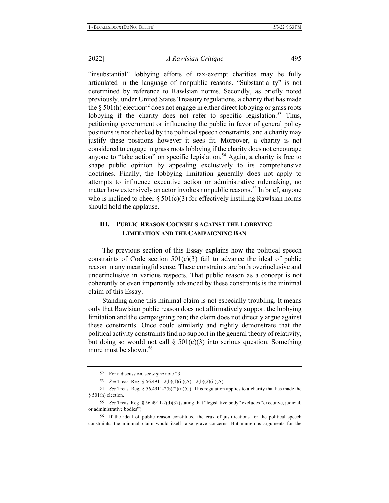"insubstantial" lobbying efforts of tax-exempt charities may be fully articulated in the language of nonpublic reasons. "Substantiality" is not determined by reference to Rawlsian norms. Secondly, as briefly noted previously, under United States Treasury regulations, a charity that has made the § 501(h) election<sup>52</sup> does not engage in either direct lobbying or grass roots lobbying if the charity does not refer to specific legislation.<sup>53</sup> Thus, petitioning government or influencing the public in favor of general policy positions is not checked by the political speech constraints, and a charity may justify these positions however it sees fit. Moreover, a charity is not considered to engage in grass roots lobbying if the charity does not encourage anyone to "take action" on specific legislation.<sup>54</sup> Again, a charity is free to shape public opinion by appealing exclusively to its comprehensive doctrines. Finally, the lobbying limitation generally does not apply to attempts to influence executive action or administrative rulemaking, no matter how extensively an actor invokes nonpublic reasons.<sup>55</sup> In brief, anyone who is inclined to cheer  $\S 501(c)(3)$  for effectively instilling Rawlsian norms should hold the applause.

#### **III. .** PUBLIC REASON COUNSELS AGAINST THE LOBBYING **LIMITATION AND THE CAMPAIGNING BAN**

The previous section of this Essay explains how the political speech constraints of Code section  $501(c)(3)$  fail to advance the ideal of public reason in any meaningful sense. These constraints are both overinclusive and underinclusive in various respects. That public reason as a concept is not coherently or even importantly advanced by these constraints is the minimal claim of this Essay.

Standing alone this minimal claim is not especially troubling. It means only that Rawlsian public reason does not affirmatively support the lobbying limitation and the campaigning ban; the claim does not directly argue against these constraints. Once could similarly and rightly demonstrate that the political activity constraints find no support in the general theory of relativity, but doing so would not call  $\S$  501(c)(3) into serious question. Something more must be shown.<sup>56</sup>

<sup>52</sup> For a discussion, see *supra* note 23.

<sup>53</sup> See Treas. Reg. § 56.4911-2(b)(1)(ii)(A), -2(b)(2)(ii)(A).

<sup>54</sup> See Treas. Reg. § 56.4911-2(b)(2)(ii)(C). This regulation applies to a charity that has made the  $§$  501(h) election.

<sup>55</sup> See Treas. Reg. § 56.4911-2(d)(3) (stating that "legislative body" excludes "executive, judicial, or administrative bodies").

<sup>56</sup> If the ideal of public reason constituted the crux of justifications for the political speech constraints, the minimal claim would itself raise grave concerns. But numerous arguments for the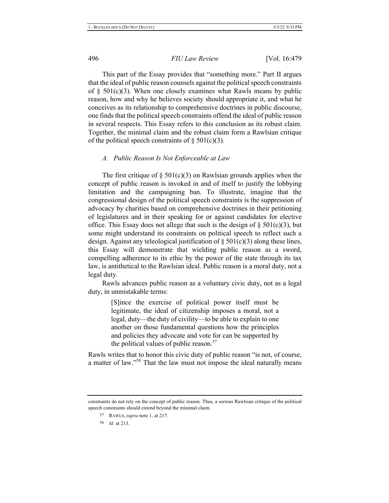This part of the Essay provides that "something more." Part II argues that the ideal of public reason counsels against the political speech constraints of §  $501(c)(3)$ . When one closely examines what Rawls means by public reason, how and why he believes society should appropriate it, and what he conceives as its relationship to comprehensive doctrines in public discourse, one finds that the political speech constraints offend the ideal of public reason in several respects. This Essay refers to this conclusion as its robust claim. Together, the minimal claim and the robust claim form a Rawlsian critique of the political speech constraints of  $\S 501(c)(3)$ .

#### A. Public Reason Is Not Enforceable at Law

The first critique of  $\S$  501(c)(3) on Rawlsian grounds applies when the concept of public reason is invoked in and of itself to justify the lobbying limitation and the campaigning ban. To illustrate, imagine that the congressional design of the political speech constraints is the suppression of advocacy by charities based on comprehensive doctrines in their petitioning of legislatures and in their speaking for or against candidates for elective office. This Essay does not allege that such is the design of  $\S 501(c)(3)$ , but some might understand its constraints on political speech to reflect such a design. Against any teleological justification of  $\S 501(c)(3)$  along these lines, this Essay will demonstrate that wielding public reason as a sword, compelling adherence to its ethic by the power of the state through its tax law, is antithetical to the Rawlsian ideal. Public reason is a moral duty, not a legal duty.

Rawls advances public reason as a voluntary civic duty, not as a legal duty, in unmistakable terms:

> [S]ince the exercise of political power itself must be legitimate, the ideal of citizenship imposes a moral, not a legal, duty—the duty of civility—to be able to explain to one another on those fundamental questions how the principles and policies they advocate and vote for can be supported by the political values of public reason. $57$

Rawls writes that to honor this civic duty of public reason "is not, of course, a matter of law."<sup>58</sup> That the law must not impose the ideal naturally means

constraints do not rely on the concept of public reason. Thus, a serious Rawlsian critique of the political speech constraints should extend beyond the minimal claim.

<sup>57</sup> RAWLS, *supra* note 1, at 217.

<sup>58</sup> *Id.* at 213.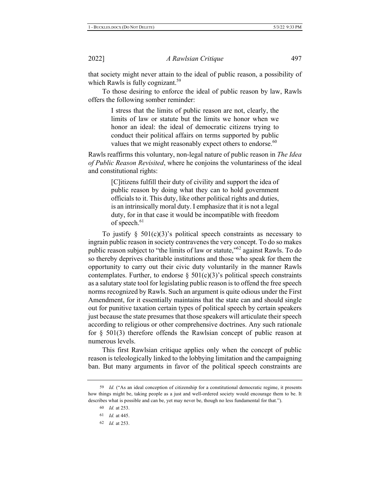that society might never attain to the ideal of public reason, a possibility of which Rawls is fully cognizant.<sup>59</sup>

To those desiring to enforce the ideal of public reason by law, Rawls offers the following somber reminder:

> I stress that the limits of public reason are not, clearly, the limits of law or statute but the limits we honor when we honor an ideal: the ideal of democratic citizens trying to conduct their political affairs on terms supported by public values that we might reasonably expect others to endorse.<sup>60</sup>

Rawls reaffirms this voluntary, non-legal nature of public reason in The Idea *of Public Reason Revisited,* where he conjoins the voluntariness of the ideal and constitutional rights:

> [C] itizens fulfill their duty of civility and support the idea of public reason by doing what they can to hold government officials to it. This duty, like other political rights and duties, is an intrinsically moral duty. I emphasize that it is not a legal duty, for in that case it would be incompatible with freedom of speech. $61$

To justify  $\S$  501(c)(3)'s political speech constraints as necessary to ingrain public reason in society contravenes the very concept. To do so makes public reason subject to "the limits of law or statute,"<sup>62</sup> against Rawls. To do so thereby deprives charitable institutions and those who speak for them the opportunity to carry out their civic duty voluntarily in the manner Rawls contemplates. Further, to endorse  $\S$  501(c)(3)'s political speech constraints as a salutary state tool for legislating public reason is to offend the free speech norms recognized by Rawls. Such an argument is quite odious under the First Amendment, for it essentially maintains that the state can and should single out for punitive taxation certain types of political speech by certain speakers just because the state presumes that those speakers will articulate their speech according to religious or other comprehensive doctrines. Any such rationale for  $\S$  501(3) therefore offends the Rawlsian concept of public reason at numerous levels.

This first Rawlsian critique applies only when the concept of public reason is teleologically linked to the lobbying limitation and the campaigning ban. But many arguments in favor of the political speech constraints are

62 *Id.* at 253.

<sup>&</sup>lt;sup>59</sup> Id. ("As an ideal conception of citizenship for a constitutional democratic regime, it presents how things might be, taking people as a just and well-ordered society would encourage them to be. It describes what is possible and can be, yet may never be, though no less fundamental for that.").

<sup>60</sup> *Id.* at 253.

<sup>61</sup> *Id.* at 445.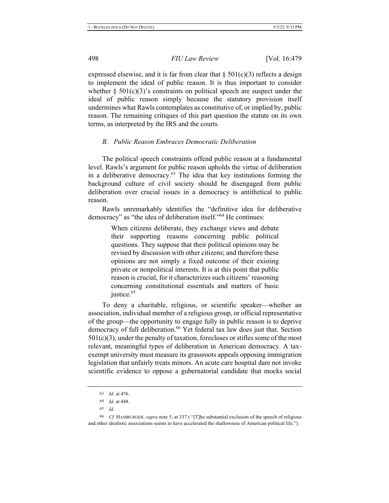expressed elsewise, and it is far from clear that  $\S 501(c)(3)$  reflects a design to implement the ideal of public reason. It is thus important to consider whether  $\S$  501(c)(3)'s constraints on political speech are suspect under the ideal of public reason simply because the statutory provision itself undermines what Rawls contemplates as constitutive of, or implied by, public reason. The remaining critiques of this part question the statute on its own terms, as interpreted by the IRS and the courts.

#### **B.** Public Reason Embraces Democratic Deliberation

The political speech constraints offend public reason at a fundamental level. Rawls's argument for public reason upholds the virtue of deliberation in a deliberative democracy. $63$  The idea that key institutions forming the background culture of civil society should be disengaged from public deliberation over crucial issues in a democracy is antithetical to public reason.

Rawls unremarkably identifies the "definitive idea for deliberative democracy" as "the idea of deliberation itself."<sup>64</sup> He continues:

> When citizens deliberate, they exchange views and debate their supporting reasons concerning public political questions. They suppose that their political opinions may be revised by discussion with other citizens; and therefore these opinions are not simply a fixed outcome of their existing private or nonpolitical interests. It is at this point that public reason is crucial, for it characterizes such citizens' reasoning concerning constitutional essentials and matters of basic justice.<sup>65</sup>

To deny a charitable, religious, or scientific speaker—whether an association, individual member of a religious group, or official representative of the group—the opportunity to engage fully in public reason is to deprive democracy of full deliberation.<sup>66</sup> Yet federal tax law does just that. Section  $501(c)(3)$ , under the penalty of taxation, forecloses or stifles some of the most relevant, meaningful types of deliberation in American democracy. A taxexempt university must measure its grassroots appeals opposing immigration legislation that unfairly treats minors. An acute care hospital dare not invoke scientific evidence to oppose a gubernatorial candidate that mocks social

<sup>63</sup> *Id.* at 476.

<sup>64</sup> *Id.* at 448.

*(*

<sup>&</sup>lt;sup>66</sup> Cf. HAMBURGER, *supra* note 5, at 337 ("[T]he substantial exclusion of the speech of religious and other idealistic associations seems to have accelerated the shallowness of American political life.").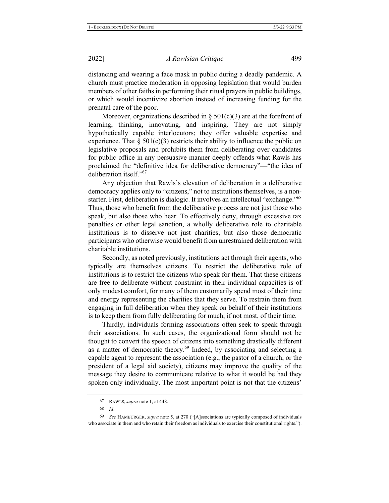distancing and wearing a face mask in public during a deadly pandemic. A church must practice moderation in opposing legislation that would burden members of other faiths in performing their ritual prayers in public buildings, or which would incentivize abortion instead of increasing funding for the prenatal care of the poor.

Moreover, organizations described in  $\S$  501(c)(3) are at the forefront of learning, thinking, innovating, and inspiring. They are not simply hypothetically capable interlocutors; they offer valuable expertise and experience. That  $\S 501(c)(3)$  restricts their ability to influence the public on legislative proposals and prohibits them from deliberating over candidates for public office in any persuasive manner deeply offends what Rawls has proclaimed the "definitive idea for deliberative democracy"—"the idea of deliberation itself." $67$ 

Any objection that Rawls's elevation of deliberation in a deliberative democracy applies only to "citizens," not to institutions themselves, is a nonstarter. First, deliberation is dialogic. It involves an intellectual "exchange."<sup>68</sup> Thus, those who benefit from the deliberative process are not just those who speak, but also those who hear. To effectively deny, through excessive tax penalties or other legal sanction, a wholly deliberative role to charitable institutions is to disserve not just charities, but also those democratic participants who otherwise would benefit from unrestrained deliberation with charitable institutions.

Secondly, as noted previously, institutions act through their agents, who typically are themselves citizens. To restrict the deliberative role of institutions is to restrict the citizens who speak for them. That these citizens are free to deliberate without constraint in their individual capacities is of only modest comfort, for many of them customarily spend most of their time and energy representing the charities that they serve. To restrain them from engaging in full deliberation when they speak on behalf of their institutions is to keep them from fully deliberating for much, if not most, of their time.

Thirdly, individuals forming associations often seek to speak through their associations. In such cases, the organizational form should not be thought to convert the speech of citizens into something drastically different as a matter of democratic theory.<sup>69</sup> Indeed, by associating and selecting a capable agent to represent the association (e.g., the pastor of a church, or the president of a legal aid society), citizens may improve the quality of the message they desire to communicate relative to what it would be had they spoken only individually. The most important point is not that the citizens'

<sup>67</sup> RAWLS, *supra* note 1, at 448.

<sup>68</sup> *Id.* 

<sup>&</sup>lt;sup>69</sup> See HAMBURGER, supra note 5, at 270 ("[A]ssociations are typically composed of individuals who associate in them and who retain their freedom as individuals to exercise their constitutional rights.").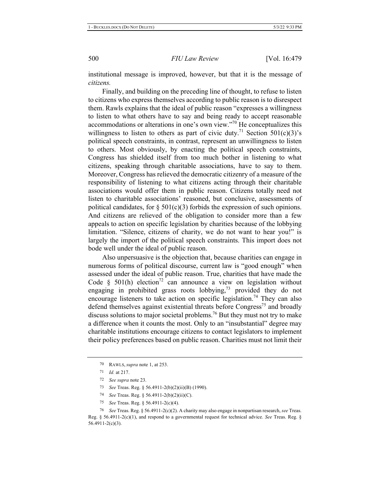institutional message is improved, however, but that it is the message of  $citizens.$ 

Finally, and building on the preceding line of thought, to refuse to listen to citizens who express themselves according to public reason is to disrespect them. Rawls explains that the ideal of public reason "expresses a willingness" to listen to what others have to say and being ready to accept reasonable accommodations or alterations in one's own view."<sup>70</sup> He conceptualizes this willingness to listen to others as part of civic duty.<sup>71</sup> Section 501(c)(3)'s political speech constraints, in contrast, represent an unwillingness to listen to others. Most obviously, by enacting the political speech constraints, Congress has shielded itself from too much bother in listening to what citizens, speaking through charitable associations, have to say to them. Moreover, Congress has relieved the democratic citizenry of a measure of the responsibility of listening to what citizens acting through their charitable associations would offer them in public reason. Citizens totally need not listen to charitable associations' reasoned, but conclusive, assessments of political candidates, for  $\S 501(c)(3)$  forbids the expression of such opinions. And citizens are relieved of the obligation to consider more than a few appeals to action on specific legislation by charities because of the lobbying limitation. "Silence, citizens of charity, we do not want to hear you!" is largely the import of the political speech constraints. This import does not bode well under the ideal of public reason.

Also unpersuasive is the objection that, because charities can engage in numerous forms of political discourse, current law is "good enough" when assessed under the ideal of public reason. True, charities that have made the Code § 501(h) election<sup>72</sup> can announce a view on legislation without engaging in prohibited grass roots lobbying,<sup>73</sup> provided they do not encourage listeners to take action on specific legislation.<sup>74</sup> They can also defend themselves against existential threats before  $Congress^{75}$  and broadly discuss solutions to major societal problems.<sup>76</sup> But they must not try to make a difference when it counts the most. Only to an "insubstantial" degree may charitable institutions encourage citizens to contact legislators to implement their policy preferences based on public reason. Charities must not limit their

75 *See* Treas. Reg. § 56.4911-2(c)(4).

 $76$  See Treas. Reg. § 56.4911-2(c)(2). A charity may also engage in nonpartisan research, see Treas. Reg. § 56.4911-2(c)(1), and respond to a governmental request for technical advice. See Treas. Reg. § 56.4911-2(c)(3).

<sup>70</sup> RAWLS, *supra* note 1, at 253.

<sup>71</sup> *Id.* at 217.

<sup>72</sup> *See supra* note 23.

<sup>73</sup> See Treas. Reg. § 56.4911-2(b)(2)(ii)(B) (1990).

<sup>74</sup> See Treas. Reg. § 56.4911-2(b)(2)(ii)(C).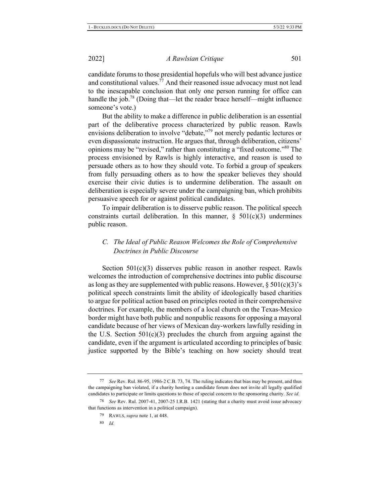candidate forums to those presidential hopefuls who will best advance justice and constitutional values.<sup>77</sup> And their reasoned issue advocacy must not lead to the inescapable conclusion that only one person running for office can handle the job.<sup>78</sup> (Doing that—let the reader brace herself—might influence someone's vote.)

But the ability to make a difference in public deliberation is an essential part of the deliberative process characterized by public reason. Rawls envisions deliberation to involve "debate,"<sup>79</sup> not merely pedantic lectures or even dispassionate instruction. He argues that, through deliberation, citizens' opinions may be "revised," rather than constituting a "fixed outcome."<sup>80</sup> The process envisioned by Rawls is highly interactive, and reason is used to persuade others as to how they should vote. To forbid a group of speakers from fully persuading others as to how the speaker believes they should exercise their civic duties is to undermine deliberation. The assault on deliberation is especially severe under the campaigning ban, which prohibits persuasive speech for or against political candidates.

To impair deliberation is to disserve public reason. The political speech constraints curtail deliberation. In this manner,  $\S$  501(c)(3) undermines public reason.

### *C. The Ideal of Public Reason Welcomes the Role of Comprehensive Doctrines in Public Discourse*

Section  $501(c)(3)$  disserves public reason in another respect. Rawls welcomes the introduction of comprehensive doctrines into public discourse as long as they are supplemented with public reasons. However,  $\S 501(c)(3)$ 's political speech constraints limit the ability of ideologically based charities to argue for political action based on principles rooted in their comprehensive doctrines. For example, the members of a local church on the Texas-Mexico border might have both public and nonpublic reasons for opposing a mayoral candidate because of her views of Mexican day-workers lawfully residing in the U.S. Section  $501(c)(3)$  precludes the church from arguing against the candidate, even if the argument is articulated according to principles of basic justice supported by the Bible's teaching on how society should treat

<sup>77</sup> See Rev. Rul. 86-95, 1986-2 C.B. 73, 74. The ruling indicates that bias may be present, and thus the campaigning ban violated, if a charity hosting a candidate forum does not invite all legally qualified candidates to participate or limits questions to those of special concern to the sponsoring charity. See id.

<sup>78</sup> See Rev. Rul. 2007-41, 2007-25 I.R.B. 1421 (stating that a charity must avoid issue advocacy that functions as intervention in a political campaign).

<sup>79</sup> RAWLS, *supra* note 1, at 448.

<sup>80</sup> *Id.*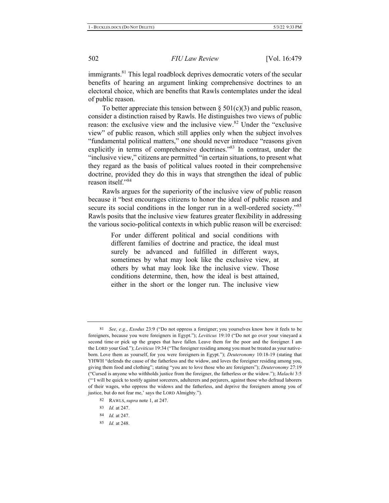immigrants.<sup>81</sup> This legal roadblock deprives democratic voters of the secular benefits of hearing an argument linking comprehensive doctrines to an electoral choice, which are benefits that Rawls contemplates under the ideal of public reason.

To better appreciate this tension between  $\S 501(c)(3)$  and public reason, consider a distinction raised by Rawls. He distinguishes two views of public reason: the exclusive view and the inclusive view.<sup>82</sup> Under the "exclusive" view" of public reason, which still applies only when the subject involves "fundamental political matters," one should never introduce "reasons given explicitly in terms of comprehensive doctrines."<sup>83</sup> In contrast, under the "inclusive view," citizens are permitted "in certain situations, to present what they regard as the basis of political values rooted in their comprehensive doctrine, provided they do this in ways that strengthen the ideal of public reason itself." $84$ 

Rawls argues for the superiority of the inclusive view of public reason because it "best encourages citizens to honor the ideal of public reason and secure its social conditions in the longer run in a well-ordered society."<sup>85</sup> Rawls posits that the inclusive view features greater flexibility in addressing the various socio-political contexts in which public reason will be exercised:

> For under different political and social conditions with different families of doctrine and practice, the ideal must surely be advanced and fulfilled in different ways, sometimes by what may look like the exclusive view, at others by what may look like the inclusive view. Those conditions determine, then, how the ideal is best attained, either in the short or the longer run. The inclusive view

85 *Id.* at 248.

<sup>81</sup> See, e.g., *Exodus* 23:9 ("Do not oppress a foreigner; you yourselves know how it feels to be foreigners, because you were foreigners in Egypt."); Leviticus 19:10 ("Do not go over your vineyard a second time or pick up the grapes that have fallen. Leave them for the poor and the foreigner. I am the LORD your God."); Leviticus 19:34 ("The foreigner residing among you must be treated as your nativeborn. Love them as yourself, for you were foreigners in Egypt."); *Deuteronomy* 10:18-19 (stating that YHWH "defends the cause of the fatherless and the widow, and loves the foreigner residing among you, giving them food and clothing"; stating "you are to love those who are foreigners"); *Deuteronomy* 27:19 <sup>ec</sup>Cursed is anyone who withholds justice from the foreigner, the fatherless or the widow."); *Malachi* 3:5 ("I will be quick to testify against sorcerers, adulterers and perjurers, against those who defraud laborers of their wages, who oppress the widows and the fatherless, and deprive the foreigners among you of justice, but do not fear me,' says the LORD Almighty.").

<sup>82</sup> RAWLS, *supra* note 1, at 247.

<sup>83</sup> *Id.* at 247.

<sup>84</sup> *Id.* at 247.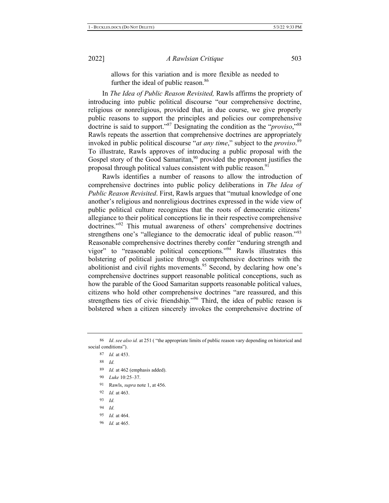allows for this variation and is more flexible as needed to further the ideal of public reason.<sup>86</sup>

In *The Idea of Public Reason Revisited*, Rawls affirms the propriety of introducing into public political discourse "our comprehensive doctrine, religious or nonreligious, provided that, in due course, we give properly public reasons to support the principles and policies our comprehensive doctrine is said to support."<sup>87</sup> Designating the condition as the "*proviso*,"<sup>88</sup> Rawls repeats the assertion that comprehensive doctrines are appropriately invoked in public political discourse "*at any time*," subject to the *proviso*.<sup>89</sup> To illustrate, Rawls approves of introducing a public proposal with the Gospel story of the Good Samaritan,<sup>90</sup> provided the proponent justifies the proposal through political values consistent with public reason.<sup>91</sup>

Rawls identifies a number of reasons to allow the introduction of comprehensive doctrines into public policy deliberations in The Idea of *Public Reason Revisited.* First, Rawls argues that "mutual knowledge of one" another's religious and nonreligious doctrines expressed in the wide view of public political culture recognizes that the roots of democratic citizens' allegiance to their political conceptions lie in their respective comprehensive doctrines."<sup>92</sup> This mutual awareness of others' comprehensive doctrines strengthens one's "allegiance to the democratic ideal of public reason."<sup>93</sup> Reasonable comprehensive doctrines thereby confer "enduring strength and vigor" to "reasonable political conceptions."<sup>94</sup> Rawls illustrates this bolstering of political justice through comprehensive doctrines with the abolitionist and civil rights movements.<sup>95</sup> Second, by declaring how one's comprehensive doctrines support reasonable political conceptions, such as how the parable of the Good Samaritan supports reasonable political values, citizens who hold other comprehensive doctrines "are reassured, and this strengthens ties of civic friendship."<sup>96</sup> Third, the idea of public reason is bolstered when a citizen sincerely invokes the comprehensive doctrine of

- 89 <sup>9</sup> *Id.* at 462 (emphasis added).
- 90 Luke 10:25-37.
- 91 Rawls, *supra* note 1, at 456.
- 92 *Id.* at 463.
- 93 Id.
- 94 Id
- 95 *Id.* at 464.
- 96 *Id.* at 465.

<sup>86</sup> *Id. see also id.* at 251 ("the appropriate limits of public reason vary depending on historical and social conditions").

<sup>87</sup> *Id.* at 453.

<sup>88</sup>  $\overline{d}$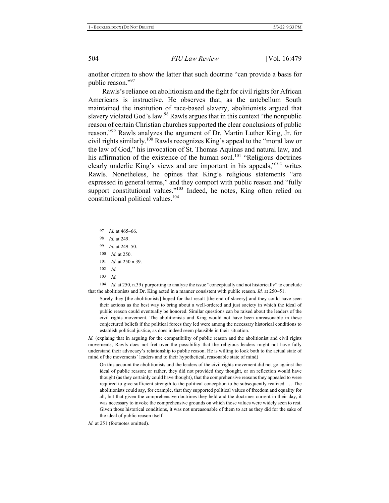another citizen to show the latter that such doctrine "can provide a basis for public reason."97

Rawls's reliance on abolitionism and the fight for civil rights for African Americans is instructive. He observes that, as the antebellum South maintained the institution of race-based slavery, abolitionists argued that slavery violated God's law.<sup>98</sup> Rawls argues that in this context "the nonpublic reason of certain Christian churches supported the clear conclusions of public reason."<sup>99</sup> Rawls analyzes the argument of Dr. Martin Luther King, Jr. for civil rights similarly.<sup>100</sup> Rawls recognizes King's appeal to the "moral law or the law of God," his invocation of St. Thomas Aquinas and natural law, and his affirmation of the existence of the human soul.<sup>101</sup> "Religious doctrines clearly underlie King's views and are important in his appeals," $102$  writes Rawls. Nonetheless, he opines that King's religious statements "are expressed in general terms," and they comport with public reason and "fully support constitutional values."<sup>103</sup> Indeed, he notes, King often relied on constitutional political values.<sup>104</sup>

- 97 *Id.* at 465–66.
- 98 8 *Id.* at 249.
- 99 *Id.* at 249–50.
- 100 <sup>0</sup> Id. at 250.
- 101 <sup>1</sup> *Id.* at 250 n.39.
- 102  $\overline{d}$
- 103  $\overline{d}$

104  $\frac{d}{d}$  *Id.* at 250, n.39 (purporting to analyze the issue "conceptually and not historically" to conclude that the abolitionists and Dr. King acted in a manner consistent with public reason. *Id.* at  $250-51$ .

Surely they [the abolitionists] hoped for that result [the end of slavery] and they could have seen their actions as the best way to bring about a well-ordered and just society in which the ideal of public reason could eventually be honored. Similar questions can be raised about the leaders of the civil rights movement. The abolitionists and King would not have been unreasonable in these conjectured beliefs if the political forces they led were among the necessary historical conditions to establish political justice, as does indeed seem plausible in their situation.

*Id.* (explaing that in arguing for the compatibility of public reason and the abolitionist and civil rights movements, Rawls does not fret over the possibility that the religious leaders might not have fully understand their advocacy's relationship to public reason. He is willing to look both to the actual state of mind of the movements' leaders and to their hypothetical, reasonable state of mind)

On this account the abolitionists and the leaders of the civil rights movement did not go against the ideal of public reason; or rather, they did not provided they thought, or on reflection would have thought (as they certainly could have thought), that the comprehensive reasons they appealed to were required to give sufficient strength to the political conception to be subsequently realized. ... The abolitionists could say, for example, that they supported political values of freedom and equality for all, but that given the comprehensive doctrines they held and the doctrines current in their day, it was necessary to invoke the comprehensive grounds on which those values were widely seen to rest. Given those historical conditions, it was not unreasonable of them to act as they did for the sake of the ideal of public reason itself.

*Id.* at 251 (footnotes omitted).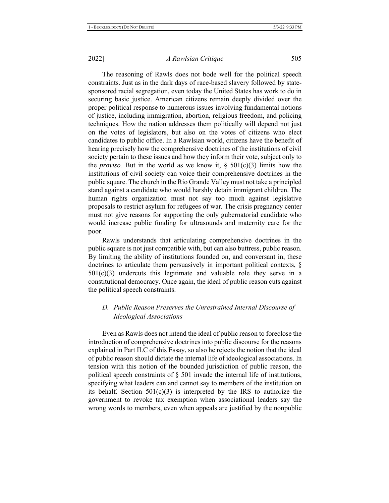The reasoning of Rawls does not bode well for the political speech constraints. Just as in the dark days of race-based slavery followed by statesponsored racial segregation, even today the United States has work to do in securing basic justice. American citizens remain deeply divided over the proper political response to numerous issues involving fundamental notions of justice, including immigration, abortion, religious freedom, and policing techniques. How the nation addresses them politically will depend not just on the votes of legislators, but also on the votes of citizens who elect candidates to public office. In a Rawlsian world, citizens have the benefit of hearing precisely how the comprehensive doctrines of the institutions of civil society pertain to these issues and how they inform their vote, subject only to the *proviso*. But in the world as we know it,  $\S$  501(c)(3) limits how the institutions of civil society can voice their comprehensive doctrines in the public square. The church in the Rio Grande Valley must not take a principled stand against a candidate who would harshly detain immigrant children. The human rights organization must not say too much against legislative proposals to restrict asylum for refugees of war. The crisis pregnancy center must not give reasons for supporting the only gubernatorial candidate who would increase public funding for ultrasounds and maternity care for the poor.

Rawls understands that articulating comprehensive doctrines in the public square is not just compatible with, but can also buttress, public reason. By limiting the ability of institutions founded on, and conversant in, these doctrines to articulate them persuasively in important political contexts,  $\S$  $501(c)(3)$  undercuts this legitimate and valuable role they serve in a constitutional democracy. Once again, the ideal of public reason cuts against the political speech constraints.

### *D. Public Reason Preserves the Unrestrained Internal Discourse of* **Ideological Associations**

Even as Rawls does not intend the ideal of public reason to foreclose the introduction of comprehensive doctrines into public discourse for the reasons explained in Part II.C of this Essay, so also he rejects the notion that the ideal of public reason should dictate the internal life of ideological associations. In tension with this notion of the bounded jurisdiction of public reason, the political speech constraints of  $\S$  501 invade the internal life of institutions, specifying what leaders can and cannot say to members of the institution on its behalf. Section  $501(c)(3)$  is interpreted by the IRS to authorize the government to revoke tax exemption when associational leaders say the wrong words to members, even when appeals are justified by the nonpublic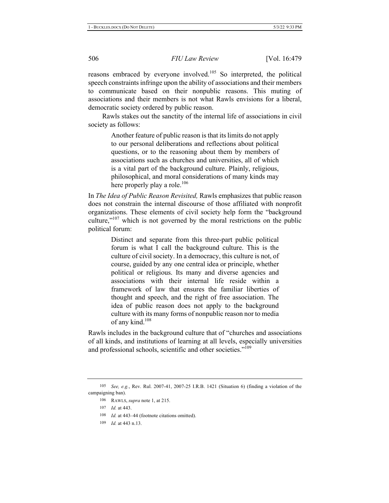reasons embraced by everyone involved.<sup>105</sup> So interpreted, the political speech constraints infringe upon the ability of associations and their members to communicate based on their nonpublic reasons. This muting of associations and their members is not what Rawls envisions for a liberal, democratic society ordered by public reason.

Rawls stakes out the sanctity of the internal life of associations in civil society as follows:

> Another feature of public reason is that its limits do not apply to our personal deliberations and reflections about political questions, or to the reasoning about them by members of associations such as churches and universities, all of which is a vital part of the background culture. Plainly, religious, philosophical, and moral considerations of many kinds may here properly play a role.<sup>106</sup>

In *The Idea of Public Reason Revisited*, Rawls emphasizes that public reason does not constrain the internal discourse of those affiliated with nonprofit organizations. These elements of civil society help form the "background culture,"<sup>107</sup> which is not governed by the moral restrictions on the public political forum:

> Distinct and separate from this three-part public political forum is what I call the background culture. This is the culture of civil society. In a democracy, this culture is not, of course, guided by any one central idea or principle, whether political or religious. Its many and diverse agencies and associations with their internal life reside within a framework of law that ensures the familiar liberties of thought and speech, and the right of free association. The idea of public reason does not apply to the background culture with its many forms of nonpublic reason nor to media of any kind. $108$

Rawls includes in the background culture that of "churches and associations of all kinds, and institutions of learning at all levels, especially universities and professional schools, scientific and other societies."<sup>109</sup>

 $109$  *Id.* at 443 n.13.

<sup>105</sup> See, e.g., Rev. Rul. 2007-41, 2007-25 I.R.B. 1421 (Situation 6) (finding a violation of the campaigning ban).

<sup>106</sup> RAWLS, *supra* note 1, at 215.

<sup>107</sup> *Id.* at 443.

<sup>108</sup> *Id.* at 443–44 (footnote citations omitted).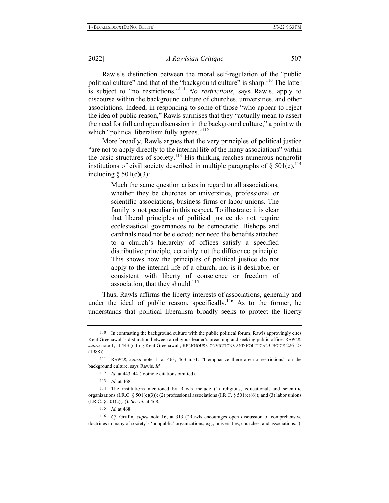Rawls's distinction between the moral self-regulation of the "public political culture" and that of the "background culture" is sharp.<sup>110</sup> The latter is subject to "no restrictions."<sup>111</sup> No restrictions, says Rawls, apply to discourse within the background culture of churches, universities, and other associations. Indeed, in responding to some of those "who appear to reject the idea of public reason," Rawls surmises that they "actually mean to assert the need for full and open discussion in the background culture," a point with which "political liberalism fully agrees."<sup>112</sup>

More broadly, Rawls argues that the very principles of political justice "are not to apply directly to the internal life of the many associations" within the basic structures of society.<sup>113</sup> His thinking reaches numerous nonprofit institutions of civil society described in multiple paragraphs of § 501(c),  $^{114}$ including  $\S 501(c)(3)$ :

> Much the same question arises in regard to all associations, whether they be churches or universities, professional or scientific associations, business firms or labor unions. The family is not peculiar in this respect. To illustrate: it is clear that liberal principles of political justice do not require ecclesiastical governances to be democratic. Bishops and cardinals need not be elected; nor need the benefits attached to a church's hierarchy of offices satisfy a specified distributive principle, certainly not the difference principle. This shows how the principles of political justice do not apply to the internal life of a church, nor is it desirable, or consistent with liberty of conscience or freedom of association, that they should. $^{115}$

Thus, Rawls affirms the liberty interests of associations, generally and under the ideal of public reason, specifically.<sup>116</sup> As to the former, he understands that political liberalism broadly seeks to protect the liberty

<sup>116</sup> *Cf.* Griffin, *supra* note 16, at 313 ("Rawls encourages open discussion of comprehensive doctrines in many of society's 'nonpublic' organizations, e.g., universities, churches, and associations.").

<sup>110</sup> In contrasting the background culture with the public political forum, Rawls approvingly cites Kent Greenawalt's distinction between a religious leader's preaching and seeking public office. RAWLS, supra note 1, at 443 (citing Kent Greenawalt, RELIGIOUS CONVICTIONS AND POLITICAL CHOICE 226–27  $(1988)$ ).

<sup>111</sup> RAWLS, *supra* note 1, at 463, 463 n.51. "I emphasize there are no restrictions" on the background culture, says Rawls. Id.

<sup>112</sup> *Id.* at 443–44 (footnote citations omitted).

<sup>113</sup> *Id.* at 468.

<sup>114</sup> The institutions mentioned by Rawls include (1) religious, educational, and scientific organizations (I.R.C. § 501(c)(3)); (2) professional associations (I.R.C. § 501(c)(6)); and (3) labor unions  $(I.R.C. § 501(c)(5))$ . See id. at 468.

<sup>115</sup> *Id.* at 468.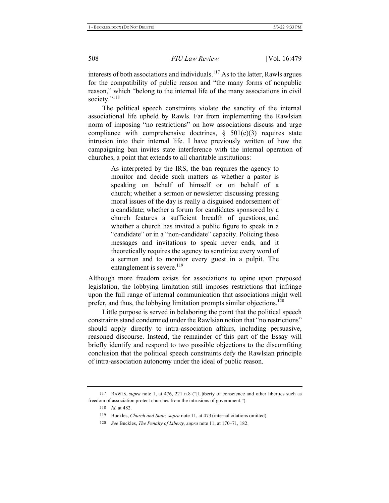interests of both associations and individuals.<sup>117</sup> As to the latter, Rawls argues for the compatibility of public reason and "the many forms of nonpublic reason," which "belong to the internal life of the many associations in civil society."<sup>118</sup>

The political speech constraints violate the sanctity of the internal associational life upheld by Rawls. Far from implementing the Rawlsian norm of imposing "no restrictions" on how associations discuss and urge compliance with comprehensive doctrines,  $\S$  501(c)(3) requires state intrusion into their internal life. I have previously written of how the campaigning ban invites state interference with the internal operation of churches, a point that extends to all charitable institutions:

> As interpreted by the IRS, the ban requires the agency to monitor and decide such matters as whether a pastor is speaking on behalf of himself or on behalf of a church; whether a sermon or newsletter discussing pressing moral issues of the day is really a disguised endorsement of a candidate; whether a forum for candidates sponsored by a church features a sufficient breadth of questions; and whether a church has invited a public figure to speak in a "candidate" or in a "non-candidate" capacity. Policing these messages and invitations to speak never ends, and it theoretically requires the agency to scrutinize every word of a sermon and to monitor every guest in a pulpit. The entanglement is severe. $^{119}$

Although more freedom exists for associations to opine upon proposed legislation, the lobbying limitation still imposes restrictions that infringe upon the full range of internal communication that associations might well prefer, and thus, the lobbying limitation prompts similar objections.<sup>120</sup>

Little purpose is served in belaboring the point that the political speech constraints stand condemned under the Rawlsian notion that "no restrictions" should apply directly to intra-association affairs, including persuasive, reasoned discourse. Instead, the remainder of this part of the Essay will briefly identify and respond to two possible objections to the discomfiting conclusion that the political speech constraints defy the Rawlsian principle of intra-association autonomy under the ideal of public reason.

<sup>117</sup> RAWLS, *supra* note 1, at 476, 221 n.8 ("[L]iberty of conscience and other liberties such as freedom of association protect churches from the intrusions of government.").

<sup>118</sup> *Id.* at 482.

<sup>119</sup> Buckles, *Church and State, supra* note 11, at 473 (internal citations omitted).

<sup>120</sup> See Buckles, *The Penalty of Liberty, supra* note 11, at 170–71, 182.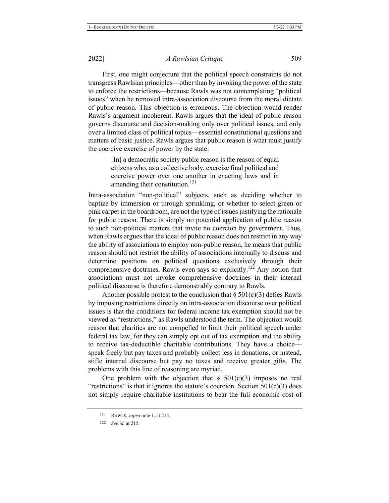First, one might conjecture that the political speech constraints do not transgress Rawlsian principles—other than by invoking the power of the state to enforce the restrictions—because Rawls was not contemplating "political" issues" when he removed intra-association discourse from the moral dictate of public reason. This objection is erroneous. The objection would render Rawls's argument incoherent. Rawls argues that the ideal of public reason governs discourse and decision-making only over political issues, and only over a limited class of political topics—essential constitutional questions and matters of basic justice. Rawls argues that public reason is what must justify the coercive exercise of power by the state:

> $\lceil \ln \rceil$  a democratic society public reason is the reason of equal citizens who, as a collective body, exercise final political and coercive power over one another in enacting laws and in amending their constitution.<sup>121</sup>

Intra-association "non-political" subjects, such as deciding whether to baptize by immersion or through sprinkling, or whether to select green or pink carpet in the boardroom, are not the type of issues justifying the rationale for public reason. There is simply no potential application of public reason to such non-political matters that invite no coercion by government. Thus, when Rawls argues that the ideal of public reason does not restrict in any way the ability of associations to employ non-public reason, he means that public reason should not restrict the ability of associations internally to discuss and determine positions on political questions exclusively through their comprehensive doctrines. Rawls even says so explicitly.<sup>122</sup> Any notion that associations must not invoke comprehensive doctrines in their internal political discourse is therefore demonstrably contrary to Rawls.

Another possible protest to the conclusion that  $\S 501(c)(3)$  defies Rawls by imposing restrictions directly on intra-association discourse over political issues is that the conditions for federal income tax exemption should not be viewed as "restrictions," as Rawls understood the term. The objection would reason that charities are not compelled to limit their political speech under federal tax law, for they can simply opt out of tax exemption and the ability to receive tax-deductible charitable contributions. They have a choice speak freely but pay taxes and probably collect less in donations, or instead, stifle internal discourse but pay no taxes and receive greater gifts. The problems with this line of reasoning are myriad.

One problem with the objection that  $\S$  501(c)(3) imposes no real "restrictions" is that it ignores the statute's coercion. Section  $501(c)(3)$  does not simply require charitable institutions to bear the full economic cost of

<sup>121</sup> RAWLS, *supra* note 1, at 214.

<sup>122</sup> *See id.* at 215.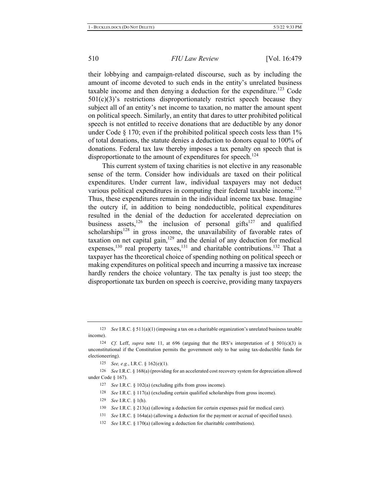their lobbying and campaign-related discourse, such as by including the amount of income devoted to such ends in the entity's unrelated business taxable income and then denying a deduction for the expenditure.<sup>123</sup> Code  $501(c)(3)$ 's restrictions disproportionately restrict speech because they subject all of an entity's net income to taxation, no matter the amount spent on political speech. Similarly, an entity that dares to utter prohibited political speech is not entitled to receive donations that are deductible by any donor under Code  $\S 170$ ; even if the prohibited political speech costs less than  $1\%$ of total donations, the statute denies a deduction to donors equal to 100% of donations. Federal tax law thereby imposes a tax penalty on speech that is disproportionate to the amount of expenditures for speech.<sup>124</sup>

This current system of taxing charities is not elective in any reasonable sense of the term. Consider how individuals are taxed on their political expenditures. Under current law, individual taxpayers may not deduct various political expenditures in computing their federal taxable income.<sup>125</sup> Thus, these expenditures remain in the individual income tax base. Imagine the outcry if, in addition to being nondeductible, political expenditures resulted in the denial of the deduction for accelerated depreciation on business assets,<sup>126</sup> the inclusion of personal gifts<sup>127</sup> and qualified scholarships<sup>128</sup> in gross income, the unavailability of favorable rates of taxation on net capital gain,<sup>129</sup> and the denial of any deduction for medical expenses,  $^{130}$  real property taxes,  $^{131}$  and charitable contributions.  $^{132}$  That a taxpayer has the theoretical choice of spending nothing on political speech or making expenditures on political speech and incurring a massive tax increase hardly renders the choice voluntary. The tax penalty is just too steep; the disproportionate tax burden on speech is coercive, providing many taxpayers

126 See I.R.C. § 168(a) (providing for an accelerated cost recovery system for depreciation allowed under Code  $§$  167).

129 *See I.R.C.* § 1(h).

132 *See I.R.C.* § 170(a) (allowing a deduction for charitable contributions).

<sup>123</sup> See I.R.C. § 511(a)(1) (imposing a tax on a charitable organization's unrelated business taxable income).

<sup>&</sup>lt;sup>124</sup> Cf. Leff, supra note 11, at 696 (arguing that the IRS's interpretation of § 501(c)(3) is unconstitutional if the Constitution permits the government only to bar using tax-deductible funds for electioneering).

<sup>125</sup> *See, e.g., I.R.C.* § 162(e)(1).

 $127$  *See I.R.C.* § 102(a) (excluding gifts from gross income).

<sup>128</sup> See I.R.C. § 117(a) (excluding certain qualified scholarships from gross income).

<sup>130</sup> See I.R.C. § 213(a) (allowing a deduction for certain expenses paid for medical care).

 $131$  *See* I.R.C. § 164a(a) (allowing a deduction for the payment or accrual of specified taxes).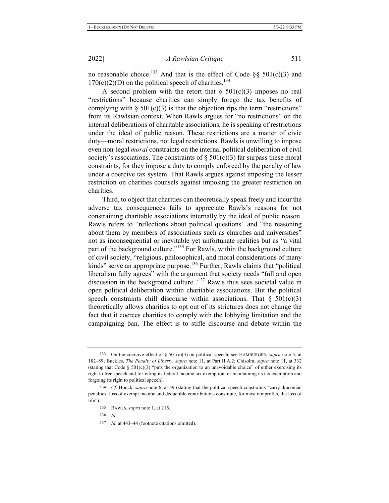no reasonable choice.<sup>133</sup> And that is the effect of Code §§ 501(c)(3) and  $170(c)(2)(D)$  on the political speech of charities.<sup>134</sup>

A second problem with the retort that  $\S$  501(c)(3) imposes no real "restrictions" because charities can simply forego the tax benefits of complying with  $\S 501(c)(3)$  is that the objection rips the term "restrictions" from its Rawlsian context. When Rawls argues for "no restrictions" on the internal deliberations of charitable associations, he is speaking of restrictions under the ideal of public reason. These restrictions are a matter of civic duty—moral restrictions, not legal restrictions. Rawls is unwilling to impose even non-legal *moral* constraints on the internal political deliberation of civil society's associations. The constraints of  $\S 501(c)(3)$  far surpass these moral constraints, for they impose a duty to comply enforced by the penalty of law under a coercive tax system. That Rawls argues against imposing the lesser restriction on charities counsels against imposing the greater restriction on charities.

Third, to object that charities can theoretically speak freely and incur the adverse tax consequences fails to appreciate Rawls's reasons for not constraining charitable associations internally by the ideal of public reason. Rawls refers to "reflections about political questions" and "the reasoning about them by members of associations such as churches and universities" not as inconsequential or inevitable yet unfortunate realities but as "a vital part of the background culture."<sup>135</sup> For Rawls, within the background culture of civil society, "religious, philosophical, and moral considerations of many kinds" serve an appropriate purpose.<sup>136</sup> Further, Rawls claims that "political liberalism fully agrees" with the argument that society needs "full and open discussion in the background culture."<sup>137</sup> Rawls thus sees societal value in open political deliberation within charitable associations. But the political speech constraints chill discourse within associations. That  $\S$  501(c)(3) theoretically allows charities to opt out of its strictures does not change the fact that it coerces charities to comply with the lobbying limitation and the campaigning ban. The effect is to stifle discourse and debate within the

<sup>133</sup> On the coercive effect of § 501(c)(3) on political speech, see HAMBURGER, supra note 5, at 182-89; Buckles, *The Penalty of Liberty, supra* note 11, at Part II.A.2; Chisolm, *supra* note 11, at 332 (stating that Code § 501(c)(3) "puts the organization to an unavoidable choice" of either exercising its right to free speech and forfeiting its federal income tax exemption, or maintaining its tax exemption and forgoing its right to political speech).

<sup>&</sup>lt;sup>134</sup> *Cf.* Houck, *supra* note 6, at 39 (stating that the political speech constraints "carry draconian penalties: loss of exempt income and deductible contributions constitute, for most nonprofits, the loss of  $life$ ").

<sup>135</sup> RAWLS, *supra* note 1, at 215.

<sup>136</sup> *Id.* 

<sup>137</sup> *Id.* at 443-44 (footnote citations omitted).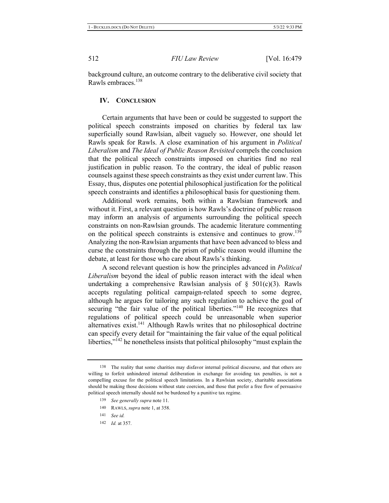background culture, an outcome contrary to the deliberative civil society that Rawls embraces.<sup>138</sup>

#### **IV.** CONCLUSION

Certain arguments that have been or could be suggested to support the political speech constraints imposed on charities by federal tax law superficially sound Rawlsian, albeit vaguely so. However, one should let Rawls speak for Rawls. A close examination of his argument in *Political* Liberalism and The Ideal of Public Reason Revisited compels the conclusion that the political speech constraints imposed on charities find no real justification in public reason. To the contrary, the ideal of public reason counsels against these speech constraints as they exist under current law. This Essay, thus, disputes one potential philosophical justification for the political speech constraints and identifies a philosophical basis for questioning them.

Additional work remains, both within a Rawlsian framework and without it. First, a relevant question is how Rawls's doctrine of public reason may inform an analysis of arguments surrounding the political speech constraints on non-Rawlsian grounds. The academic literature commenting on the political speech constraints is extensive and continues to grow.<sup>139</sup> Analyzing the non-Rawlsian arguments that have been advanced to bless and curse the constraints through the prism of public reason would illumine the debate, at least for those who care about Rawls's thinking.

A second relevant question is how the principles advanced in *Political Liberalism* beyond the ideal of public reason interact with the ideal when undertaking a comprehensive Rawlsian analysis of  $\S$  501(c)(3). Rawls accepts regulating political campaign-related speech to some degree, although he argues for tailoring any such regulation to achieve the goal of securing "the fair value of the political liberties."<sup>140</sup> He recognizes that regulations of political speech could be unreasonable when superior alternatives exist.<sup>141</sup> Although Rawls writes that no philosophical doctrine can specify every detail for "maintaining the fair value of the equal political liberties," $^{142}$  he nonetheless insists that political philosophy "must explain the

142 *Id.* at 357.

<sup>138</sup> The reality that some charities may disfavor internal political discourse, and that others are willing to forfeit unhindered internal deliberation in exchange for avoiding tax penalties, is not a compelling excuse for the political speech limitations. In a Rawlsian society, charitable associations should be making those decisions without state coercion, and those that prefer a free flow of persuasive political speech internally should not be burdened by a punitive tax regime.

*<sup>139</sup> See generally supra note 11.* 

<sup>140</sup> RAWLS, *supra* note 1, at 358.

<sup>141</sup> *See id.*